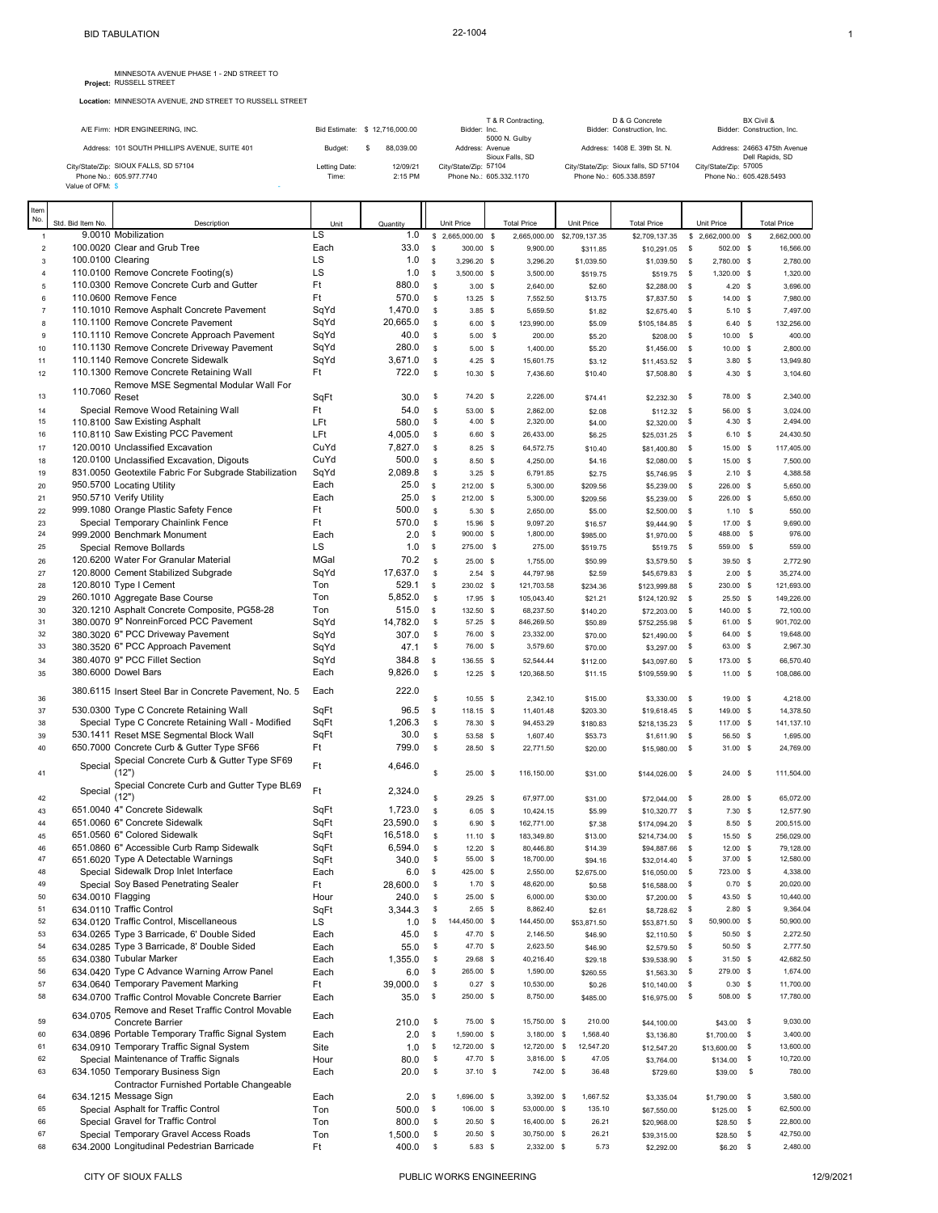**Location:** MINNESOTA AVENUE, 2ND STREET TO RUSSELL STREET

|                                               |                               |           |           | T & R Contracting.                 | D & G Concrete                        | BX Civil &                                     |
|-----------------------------------------------|-------------------------------|-----------|-----------|------------------------------------|---------------------------------------|------------------------------------------------|
| A/E Firm: HDR ENGINEERING, INC.               | Bid Estimate: \$12,716,000.00 |           |           | Bidder: Inc.<br>5000 N. Gulby      | Bidder: Construction, Inc.            | Bidder: Construction, Inc.                     |
| Address: 101 SOUTH PHILLIPS AVENUE, SUITE 401 | Budget:                       | 88.039.00 |           | Address: Avenue<br>Sioux Falls, SD | Address: 1408 E. 39th St. N.          | Address: 24663 475th Avenue<br>Dell Rapids, SD |
| City/State/Zip: SIOUX FALLS, SD 57104         | Letting Date:                 |           | 12/09/21  | City/State/Zip: 57104              | City/State/Zip: Sioux falls, SD 57104 | City/State/Zip: 57005                          |
| Phone No.: 605.977.7740                       | Time:                         |           | $2:15$ PM | Phone No.: 605.332.1170            | Phone No.: 605.338.8597               | Phone No.: 605.428.5493                        |
| Value of OFM: \$                              |                               |           |           |                                    |                                       |                                                |

| Item                      |                   |                                                                                               |              |               |                |                             |                             |                       |                             |                    |                                |                |                        |
|---------------------------|-------------------|-----------------------------------------------------------------------------------------------|--------------|---------------|----------------|-----------------------------|-----------------------------|-----------------------|-----------------------------|--------------------|--------------------------------|----------------|------------------------|
| No.                       | Std. Bid Item No. | Description                                                                                   | Unit         | Quantity      |                | Unit Price                  | <b>Total Price</b>          | Unit Price            | <b>Total Price</b>          |                    | Unit Price                     |                | <b>Total Price</b>     |
| $\mathbf{1}$              |                   | 9.0010 Mobilization                                                                           | LS           | 1.0           | \$             | 2,665,000.00 \$             | 2,665,000.00                | \$2,709,137.35        | \$2,709,137.35              | s                  | 2,662,000.00                   | $\mathfrak{s}$ | 2,662,000.00           |
| $\overline{\mathbf{c}}$   |                   | 100.0020 Clear and Grub Tree                                                                  | Each         | 33.0          | \$             | 300.00 \$                   | 9,900.00                    | \$311.85              | \$10,291.05                 | - S                | 502.00 \$                      |                | 16,566.00              |
| 3                         | 100.0100 Clearing |                                                                                               | LS           | 1.0           | s              | 3,296.20 \$                 | 3,296.20                    | \$1,039.50            | \$1,039.50                  | -S                 | 2,780.00 \$                    |                | 2,780.00               |
| $\sqrt{4}$                |                   | 110.0100 Remove Concrete Footing(s)                                                           | LS           | 1.0           | s              | 3,500.00 \$                 | 3,500.00                    | \$519.75              | \$519.75                    | s                  | 1,320.00 \$                    |                | 1,320.00               |
| 5                         |                   | 110.0300 Remove Concrete Curb and Gutter                                                      | Ft           | 880.0         | $\mathbb{S}$   | 3.00 S                      | 2,640.00                    | \$2.60                | \$2,288.00                  | \$                 | $4.20$ \$                      |                | 3,696.00               |
| 6                         |                   | 110.0600 Remove Fence                                                                         | Ft           | 570.0         | \$             | $13.25$ \$                  | 7,552.50                    | \$13.75               | \$7,837.50                  | \$                 | 14.00 \$                       |                | 7,980.00               |
| $\overline{\mathfrak{c}}$ |                   | 110.1010 Remove Asphalt Concrete Pavement                                                     | SqYd         | 1,470.0       | \$             | 3.85S                       | 5,659.50                    | \$1.82                | \$2,675.40                  | \$                 | $5.10$ \$                      |                | 7,497.00               |
| 8                         |                   | 110.1100 Remove Concrete Pavement                                                             | SqYd         | 20,665.0      | \$             | $6.00$ \$                   | 123,990.00                  | \$5.09                | \$105,184.85                | -\$                | 6.40 S                         |                | 132,256.00             |
| 9                         |                   | 110.1110 Remove Concrete Approach Pavement<br>110.1130 Remove Concrete Driveway Pavement      | SqYd<br>SqYd | 40.0<br>280.0 | \$             | $5.00$ \$                   | 200.00                      | \$5.20                | \$208.00                    | \$                 | $10.00$ \$                     |                | 400.00                 |
| 10                        |                   | 110.1140 Remove Concrete Sidewalk                                                             | SqYd         | 3,671.0       | \$<br>\$       | 5.00 S<br>$4.25$ \$         | 1,400.00                    | \$5.20                | \$1,456.00<br>\$11,453.52   | $\mathbb{S}$<br>\$ | $10.00$ \$                     |                | 2,800.00<br>13,949.80  |
| 11<br>12                  |                   | 110.1300 Remove Concrete Retaining Wall                                                       | Ft           | 722.0         | \$             | 10.30 S                     | 15,601.75<br>7,436.60       | \$3.12<br>\$10.40     | \$7,508.80                  | \$                 | $3.80$ \$<br>$4.30$ \$         |                | 3,104.60               |
|                           |                   | Remove MSE Segmental Modular Wall For                                                         |              |               |                |                             |                             |                       |                             |                    |                                |                |                        |
| 13                        | 110.7060          | Reset                                                                                         | SqFt         | 30.0          | \$             | 74.20 \$                    | 2,226.00                    | \$74.41               | \$2,232.30                  | \$                 | 78.00 \$                       |                | 2,340.00               |
| 14                        |                   | Special Remove Wood Retaining Wall                                                            | Ft           | 54.0          | \$             | 53.00 S                     | 2,862.00                    | \$2.08                | \$112.32                    | \$                 | 56.00 \$                       |                | 3,024.00               |
| 15                        |                   | 110.8100 Saw Existing Asphalt                                                                 | LFt          | 580.0         | \$             | 4.00 S                      | 2,320.00                    | \$4.00                | \$2,320.00                  | \$                 | $4.30$ \$                      |                | 2,494.00               |
| 16                        |                   | 110.8110 Saw Existing PCC Pavement                                                            | LFt          | 4,005.0       | \$             | $6.60$ \$                   | 26,433.00                   | \$6.25                | \$25,031.25                 | \$                 | $6.10$ \$                      |                | 24,430.50              |
| 17                        |                   | 120.0010 Unclassified Excavation                                                              | CuYd         | 7,827.0       | \$             | $8.25$ \$                   | 64,572.75                   | \$10.40               | \$81,400.80                 | \$                 | 15.00 \$                       |                | 117,405.00             |
| 18                        |                   | 120.0100 Unclassified Excavation, Digouts                                                     | CuYd         | 500.0         | \$             | 8.50 \$                     | 4,250.00                    | \$4.16                | \$2,080.00                  | $\mathfrak s$      | 15.00 \$                       |                | 7,500.00               |
| 19                        |                   | 831.0050 Geotextile Fabric For Subgrade Stabilization                                         | SqYd         | 2,089.8       | \$             | 3.25S                       | 6,791.85                    | \$2.75                | \$5,746.95                  | \$                 | $2.10$ \$                      |                | 4,388.58               |
| 20                        |                   | 950.5700 Locating Utility                                                                     | Each         | 25.0          | \$             | 212.00 \$                   | 5,300.00                    | \$209.56              | \$5,239.00                  | <b>S</b>           | 226.00 \$                      |                | 5,650.00               |
| 21                        |                   | 950.5710 Verify Utility                                                                       | Each         | 25.0          | \$             | 212.00 \$                   | 5,300.00                    | \$209.56              | \$5,239.00                  | s                  | 226.00 \$                      |                | 5,650.00               |
| 22                        |                   | 999.1080 Orange Plastic Safety Fence                                                          | Ft           | 500.0         | \$             | 5.30 S                      | 2,650.00                    | \$5.00                | \$2,500.00                  | \$                 | 1.10S                          |                | 550.00                 |
| 23                        |                   | Special Temporary Chainlink Fence                                                             | Ft           | 570.0         | $$\mathbb{S}$$ | 15.96 \$                    | 9,097.20                    | \$16.57               | \$9,444.90                  | \$                 | 17.00 \$                       |                | 9,690.00<br>976.00     |
| 24<br>25                  |                   | 999.2000 Benchmark Monument                                                                   | Each<br>LS   | 2.0           | \$<br>\$       | 900.00 \$<br>275.00 \$      | 1,800.00<br>275.00          | \$985.00              | \$1,970.00                  | s                  | 488.00<br>559.00 \$            | \$             | 559.00                 |
|                           |                   | Special Remove Bollards                                                                       | MGal         | 1.0<br>70.2   |                |                             |                             | \$519.75              | \$519.75                    | s                  |                                |                |                        |
| 26                        |                   | 120.6200 Water For Granular Material<br>120.8000 Cement Stabilized Subgrade                   | SqYd         | 17.637.0      | \$<br>\$       | 25.00 S<br>$2.54$ \$        | 1,755.00                    | \$50.99               | \$3,579.50                  | \$                 | 39.50 \$<br>$2.00$ \$          |                | 2,772.90<br>35,274.00  |
| 27<br>28                  |                   | 120.8010 Type I Cement                                                                        | Ton          | 529.1         | \$             | 230.02 \$                   | 44,797.98<br>121,703.58     | \$2.59<br>\$234.36    | \$45,679.83<br>\$123,999.88 | \$<br>s            | 230.00 \$                      |                | 121,693.00             |
| 29                        |                   | 260.1010 Aggregate Base Course                                                                | Ton          | 5,852.0       | $\mathfrak s$  | 17.95 \$                    | 105,043.40                  | \$21.21               | \$124,120.92                | \$                 | $25.50$ \$                     |                | 149,226.00             |
| 30                        |                   | 320.1210 Asphalt Concrete Composite, PG58-28                                                  | Ton          | 515.0         | \$             | 132.50 \$                   | 68,237.50                   | \$140.20              | \$72,203.00                 | s                  | 140.00 \$                      |                | 72,100.00              |
| 31                        |                   | 380.0070 9" NonreinForced PCC Pavement                                                        | SqYd         | 14,782.0      | \$             | 57.25 \$                    | 846,269.50                  | \$50.89               | \$752,255.98                | \$                 | 61.00 \$                       |                | 901,702.00             |
| 32                        |                   | 380.3020 6" PCC Driveway Pavement                                                             | SqYd         | 307.0         | \$             | 76.00 \$                    | 23,332.00                   | \$70.00               | \$21,490.00                 | \$                 | 64.00 \$                       |                | 19,648.00              |
| 33                        |                   | 380.3520 6" PCC Approach Pavement                                                             | SqYd         | 47.1          | \$             | 76.00 \$                    | 3,579.60                    | \$70.00               | \$3,297.00                  | \$                 | 63.00 \$                       |                | 2,967.30               |
| 34                        |                   | 380.4070 9" PCC Fillet Section                                                                | SqYd         | 384.8         | s.             | 136.55 \$                   | 52,544.44                   | \$112.00              | \$43,097.60                 | -S                 | 173.00 \$                      |                | 66,570.40              |
| 35                        |                   | 380.6000 Dowel Bars                                                                           | Each         | 9,826.0       | $$\mathbb{S}$$ | $12.25$ \$                  | 120,368.50                  | \$11.15               | \$109,559.90                | \$                 | 11.00 \$                       |                | 108,086.00             |
|                           |                   | 380.6115 Insert Steel Bar in Concrete Pavement, No. 5                                         | Each         | 222.0         |                |                             |                             |                       |                             |                    |                                |                |                        |
| 36                        |                   |                                                                                               |              |               | \$             | $10.55$ \$                  | 2,342.10                    | \$15.00               | \$3,330.00                  | \$                 | 19.00 \$                       |                | 4,218.00               |
| 37                        |                   | 530.0300 Type C Concrete Retaining Wall                                                       | SqFt         | 96.5          | \$             | 118.15 \$                   | 11,401.48                   | \$203.30              | \$19,618.45                 | s                  | 149.00 \$                      |                | 14,378.50              |
| 38                        |                   | Special Type C Concrete Retaining Wall - Modified                                             | SqFt         | 1,206.3       | \$             | 78.30 \$                    | 94,453.29                   | \$180.83              | \$218,135.23                | s                  | 117.00 \$                      |                | 141, 137.10            |
| 39                        |                   | 530.1411 Reset MSE Segmental Block Wall                                                       | SqFt         | 30.0          | \$             | 53.58 \$                    | 1,607.40                    | \$53.73               | \$1,611.90                  | $\mathbb{S}$       | 56.50 \$                       |                | 1,695.00               |
| 40                        |                   | 650.7000 Concrete Curb & Gutter Type SF66                                                     | Ft           | 799.0         | \$             | 28.50 \$                    | 22,771.50                   | \$20.00               | \$15,980.00                 | \$                 | 31.00 \$                       |                | 24,769.00              |
|                           | Special           | Special Concrete Curb & Gutter Type SF69                                                      | Ft           | 4,646.0       |                |                             |                             |                       |                             |                    |                                |                |                        |
| 41                        |                   | (12")                                                                                         |              |               | \$             | $25.00$ \$                  | 116,150.00                  | \$31.00               | \$144,026.00                | \$                 | 24.00 S                        |                | 111,504.00             |
|                           | Special           | Special Concrete Curb and Gutter Type BL69                                                    | Ft.          | 2,324.0       |                |                             |                             |                       |                             |                    |                                |                |                        |
| 42<br>43                  |                   | (12")<br>651.0040 4" Concrete Sidewalk                                                        | SqFt         | 1,723.0       | \$<br>\$       | 29.25 \$<br>$6.05$ \$       | 67,977.00<br>10,424.15      | \$31.00               | \$72,044.00                 | $\mathsf{s}$       | 28.00 \$<br>$7.30$ \$          |                | 65,072.00<br>12,577.90 |
| 44                        |                   | 651.0060 6" Concrete Sidewalk                                                                 | SqFt         | 23,590.0      | \$             | $6.90$ \$                   | 162,771.00                  | \$5.99<br>\$7.38      | \$10,320.77<br>\$174,094.20 | \$<br>\$           | 8.50 \$                        |                | 200,515.00             |
| 45                        |                   | 651.0560 6" Colored Sidewalk                                                                  | SqFt         | 16,518.0      | \$             | $11.10$ \$                  | 183,349.80                  | \$13.00               | \$214,734.00                | \$                 | 15.50 \$                       |                | 256,029.00             |
| 46                        |                   | 651.0860 6" Accessible Curb Ramp Sidewalk                                                     | SqFt         | 6,594.0       | \$             | $12.20$ \$                  | 80,446.80                   | \$14.39               | \$94,887.66                 | \$                 | 12.00 S                        |                | 79,128.00              |
| 47                        |                   | 651.6020 Type A Detectable Warnings                                                           | SqFt         | 340.0         | \$             | 55.00 \$                    | 18,700.00                   | \$94.16               | \$32,014.40                 | \$                 | 37.00 \$                       |                | 12,580.00              |
| 48                        |                   | Special Sidewalk Drop Inlet Interface                                                         | Each         | 6.0           | \$             | 425.00 \$                   | 2,550.00                    | \$2,675.00            | \$16,050.00 \$              |                    | 723.00 \$                      |                | 4.338.00               |
| 49                        |                   | Special Soy Based Penetrating Sealer                                                          | Ft           | 28,600.0      | \$             | 1.70                        | 48,620.00                   | \$0.58                | \$16,588.00                 |                    | 0.70                           |                | 20,020.00              |
| 50                        | 634.0010 Flagging |                                                                                               | Hour         | 240.0         | \$             | 25.00 S                     | 6,000.00                    | \$30.00               | \$7,200.00                  | -\$                | 43.50 \$                       |                | 10,440.00              |
| 51                        |                   | 634.0110 Traffic Control                                                                      | SqFt         | 3,344.3       | \$             | $2.65$ \$                   | 8,862.40                    | \$2.61                | \$8,728.62                  | \$                 | $2.80$ \$                      |                | 9,364.04               |
| 52                        |                   | 634.0120 Traffic Control, Miscellaneous                                                       | LS           | 1.0           | \$             | 144,450.00 \$               | 144,450.00                  | \$53,871.50           | \$53,871.50                 | \$                 | 50,900.00 \$                   |                | 50,900.00              |
| 53                        |                   | 634.0265 Type 3 Barricade, 6' Double Sided                                                    | Each         | 45.0          | \$             | 47.70 \$                    | 2,146.50                    | \$46.90               | \$2,110.50                  | \$                 | 50.50 \$                       |                | 2,272.50               |
| 54                        |                   | 634.0285 Type 3 Barricade, 8' Double Sided                                                    | Each         | 55.0          | \$             | 47.70 \$                    | 2,623.50                    | \$46.90               | \$2,579.50                  | \$                 | 50.50 \$                       |                | 2,777.50               |
| 55                        |                   | 634.0380 Tubular Marker                                                                       | Each         | 1,355.0       | \$             | 29.68 \$                    | 40,216.40                   | \$29.18               | \$39,538.90                 | \$                 | $31.50$ \$                     |                | 42,682.50              |
| 56                        |                   | 634.0420 Type C Advance Warning Arrow Panel                                                   | Each         | 6.0           | \$             | 265.00 \$                   | 1,590.00                    | \$260.55              | \$1,563.30                  | s                  | 279.00 \$                      |                | 1,674.00               |
| 57                        |                   | 634.0640 Temporary Pavement Marking                                                           | Ft           | 39,000.0      | \$             | $0.27$ \$                   | 10,530.00                   | \$0.26                | \$10,140.00                 | \$                 | $0.30$ \$                      |                | 11,700.00              |
| 58                        |                   | 634.0700 Traffic Control Movable Concrete Barrier                                             | Each         | 35.0          | \$             | 250.00 \$                   | 8,750.00                    | \$485.00              | \$16,975.00                 | s                  | 508.00 \$                      |                | 17,780.00              |
|                           | 634.0705          | Remove and Reset Traffic Control Movable                                                      | Each         |               |                |                             |                             |                       |                             |                    |                                |                |                        |
| 59                        |                   | Concrete Barrier                                                                              |              | 210.0         | \$             | 75.00 \$                    | 15,750.00 \$<br>3,180.00 \$ | 210.00                | \$44,100.00                 |                    | \$43.00                        | - \$           | 9,030.00               |
| 60                        |                   | 634.0896 Portable Temporary Traffic Signal System<br>634.0910 Temporary Traffic Signal System | Each<br>Site | 2.0<br>1.0    | s<br>\$        | 1,590.00 \$<br>12,720.00 \$ | 12,720.00 \$                | 1,568.40<br>12,547.20 | \$3,136.80                  |                    | \$1,700.00                     | $\mathbb{S}$   | 3,400.00<br>13,600.00  |
| 61<br>62                  |                   | Special Maintenance of Traffic Signals                                                        |              |               | \$             | 47.70 \$                    | 3,816.00 \$                 | 47.05                 | \$12,547.20                 |                    | \$13,600.00 \$<br>$$134.00$ \$ |                | 10,720.00              |
| 63                        |                   | 634.1050 Temporary Business Sign                                                              | Hour<br>Each | 80.0<br>20.0  | \$             | 37.10 \$                    | 742.00 \$                   | 36.48                 | \$3,764.00<br>\$729.60      |                    | \$39.00                        | \$             | 780.00                 |
|                           |                   | Contractor Furnished Portable Changeable                                                      |              |               |                |                             |                             |                       |                             |                    |                                |                |                        |
| 64                        |                   | 634.1215 Message Sign                                                                         | Each         | 2.0           | s              | 1,696.00 \$                 | 3,392.00 \$                 | 1,667.52              | \$3,335.04                  |                    | \$1,790.00 \$                  |                | 3,580.00               |
| 65                        |                   | Special Asphalt for Traffic Control                                                           | Ton          | 500.0         | \$             | 106.00 \$                   | 53,000.00 \$                | 135.10                | \$67,550.00                 |                    | \$125.00                       | - \$           | 62,500.00              |
| 66                        |                   | Special Gravel for Traffic Control                                                            | Ton          | 800.0         | \$             | $20.50$ \$                  | 16,400.00 \$                | 26.21                 | \$20,968.00                 |                    | \$28.50                        | $\mathbb{S}$   | 22,800.00              |
| 67                        |                   | Special Temporary Gravel Access Roads                                                         | Ton          | 1,500.0       | \$             | $20.50$ \$                  | 30,750.00 \$                | 26.21                 | \$39,315.00                 |                    | \$28.50                        | $\mathbb{S}$   | 42,750.00              |
| 68                        |                   | 634.2000 Longitudinal Pedestrian Barricade                                                    | Ft           | 400.0         | \$             | 5.83S                       | 2,332.00 \$                 | 5.73                  | \$2,292.00                  |                    | $$6.20$ \$                     |                | 2,480.00               |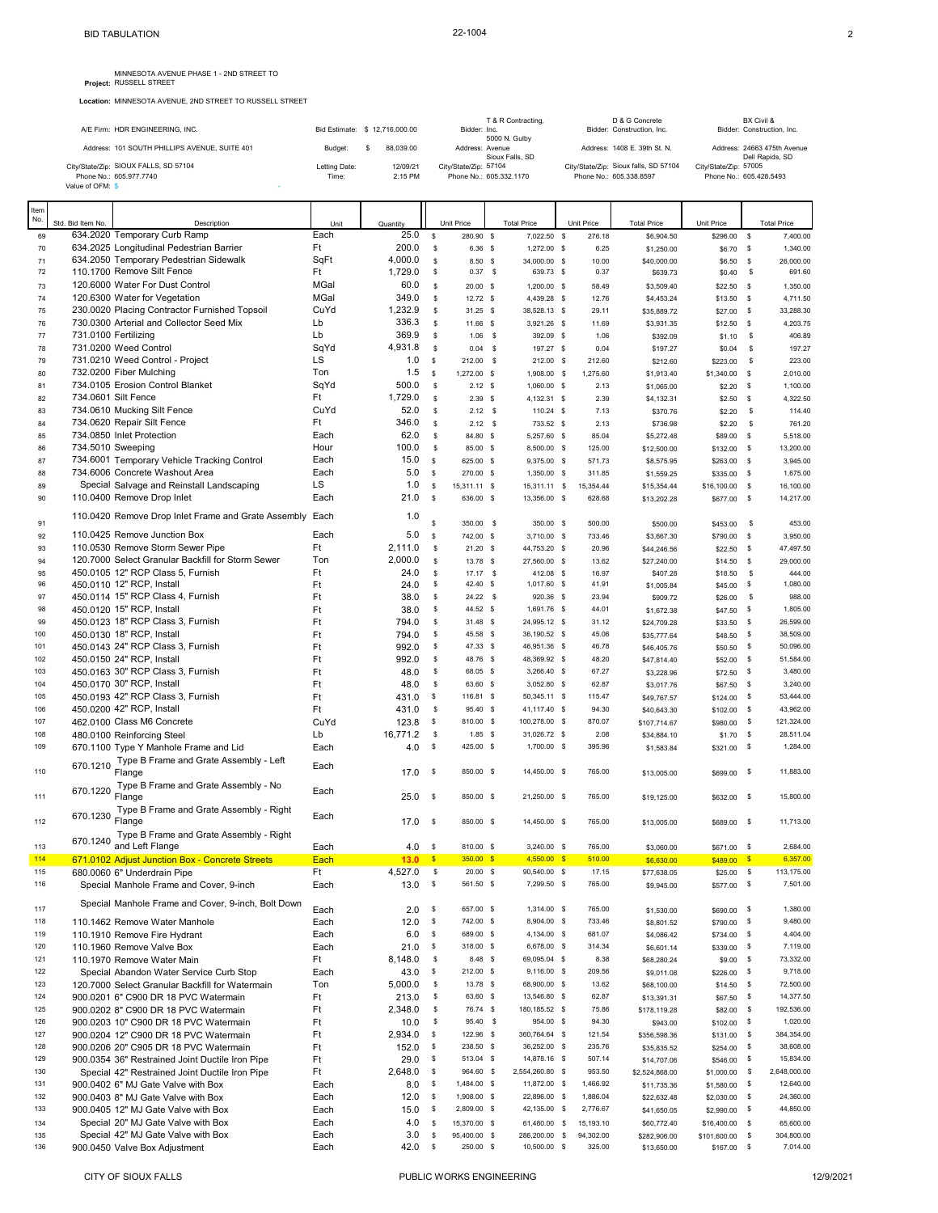MINNESOTA AVENUE PHASE 1 - 2ND STREET TO Project: RUSSELL STREET

**Location:** MINNESOTA AVENUE, 2ND STREET TO RUSSELL STREET

|             |                   | A/E Firm: HDR ENGINEERING, INC.                                  |                        | Bid Estimate: \$ 12.716.000.00 |              | Bidder: Inc.                                     | T & R Contracting.<br>5000 N. Gulby |            |          | D & G Concrete<br>Bidder: Construction, Inc.                     |                                                  |      | BX Civil &<br>Bidder: Construction, Inc. |
|-------------|-------------------|------------------------------------------------------------------|------------------------|--------------------------------|--------------|--------------------------------------------------|-------------------------------------|------------|----------|------------------------------------------------------------------|--------------------------------------------------|------|------------------------------------------|
|             |                   | Address: 101 SOUTH PHILLIPS AVENUE, SUITE 401                    | Budget:                | 88.039.00<br>s                 |              | Address: Avenue                                  |                                     |            |          | Address: 1408 E. 39th St. N.                                     |                                                  |      | Address: 24663 475th Avenue              |
|             | Value of OFM: \$  | City/State/Zip: SIOUX FALLS, SD 57104<br>Phone No.: 605.977.7740 | Letting Date:<br>Time: | 12/09/21<br>2:15 PM            |              | City/State/Zip: 57104<br>Phone No.: 605.332.1170 | Sioux Falls, SD                     |            |          | City/State/Zip: Sioux falls, SD 57104<br>Phone No.: 605.338.8597 | City/State/Zip: 57005<br>Phone No.: 605.428.5493 |      | Dell Rapids, SD                          |
| Item<br>No. | Std. Bid Item No. | Description                                                      | Unit                   | Quantity                       |              | Unit Price                                       | <b>Total Price</b>                  | Unit Price |          | <b>Total Price</b>                                               | Unit Price                                       |      | <b>Total Price</b>                       |
| 69          |                   | 634.2020 Temporary Curb Ramp                                     | Each                   | 25.0                           | $\mathbf{s}$ | 280.90 \$                                        | 7.022.50 \$                         |            | 276.18   | \$6,904.50                                                       | \$296.00 \$                                      |      | 7.400.00                                 |
| 70          |                   | 634.2025 Longitudinal Pedestrian Barrier                         | Ft                     | 200.0                          | \$           | 6.36 S                                           | $1.272.00$ \$                       |            | 6.25     | \$1,250.00                                                       | \$6.70 \$                                        |      | 1.340.00                                 |
| 71          |                   | 634.2050 Temporary Pedestrian Sidewalk                           | SqFt                   | 4,000.0                        | \$           | 8.50 \$                                          | 34,000.00 \$                        |            | 10.00    | \$40,000.00                                                      | $$6.50$ \$                                       |      | 26,000.00                                |
| 72          |                   | 110.1700 Remove Silt Fence                                       | Ft                     | 1,729.0                        | \$           | $0.37$ \$                                        | 639.73 \$                           |            | 0.37     | \$639.73                                                         | $$0.40$ \$                                       |      | 691.60                                   |
| 73          |                   | 120,6000 Water For Dust Control                                  | MGal                   | 60.0                           | \$.          | 20.00 S                                          | 1.200.00 \$                         |            | 58.49    | \$3,509.40                                                       | $$22.50$ \$                                      |      | 1.350.00                                 |
| 74          |                   | 120.6300 Water for Vegetation                                    | MGal                   | 349.0                          | \$.          | 12.72 S                                          | 4,439.28 \$                         |            | 12.76    | \$4,453.24                                                       | $$13.50$ \$                                      |      | 4,711.50                                 |
| 75          |                   | 230.0020 Placing Contractor Furnished Topsoil                    | CuYd                   | 1,232.9                        | \$.          | $31.25$ \$                                       | 38.528.13 \$                        |            | 29.11    | \$35,889.72                                                      | $$27.00$ \$                                      |      | 33.288.30                                |
| 76          |                   | 730.0300 Arterial and Collector Seed Mix                         | Lb                     | 336.3                          | \$           | 11.66 S                                          | 3,921.26 \$                         |            | 11.69    | \$3,931.35                                                       | $$12.50$ \$                                      |      | 4,203.75                                 |
| 77          |                   | 731.0100 Fertilizing                                             | Lb                     | 369.9                          | \$.          | $1.06$ \$                                        | 392.09 \$                           |            | 1.06     | \$392.09                                                         | $$1.10$ \$                                       |      | 406.89                                   |
| 78          |                   | 731,0200 Weed Control                                            | SqYd                   | 4,931.8                        | \$.          | $0.04$ \$                                        | 197.27 \$                           |            | 0.04     | \$197.27                                                         | \$0.04                                           | - \$ | 197.27                                   |
| 79          |                   | 731.0210 Weed Control - Project                                  | LS                     | 1.0                            | - S          | $212.00$ \$                                      | $212.00$ \$                         |            | 212.60   | \$212.60                                                         | \$223.00 \$                                      |      | 223.00                                   |
| 80          |                   | 732.0200 Fiber Mulching                                          | Ton                    | 1.5                            | <b>S</b>     | 1.272.00 \$                                      | 1.908.00 \$                         |            | 1.275.60 | \$1,913.40                                                       | $$1,340.00$ \$                                   |      | 2,010.00                                 |
| 81          |                   | 734,0105 Erosion Control Blanket                                 | SqYd                   | 500.0                          | $\mathbf{s}$ | 2.12 S                                           | 1.060.00 \$                         |            | 2.13     | \$1,065.00                                                       | $$2.20$ \$                                       |      | 1,100.00                                 |
| 82          |                   | 734.0601 Silt Fence                                              | Ft                     | 1,729.0                        | \$.          | 2.39S                                            | 4.132.31 \$                         |            | 2.39     | \$4,132.31                                                       | $$2.50$ \$                                       |      | 4.322.50                                 |
| 83          |                   | 734.0610 Mucking Silt Fence                                      | CuYd                   | 52.0                           | \$           | $2.12$ \$                                        | 110.24 \$                           |            | 7.13     | \$370.76                                                         | \$2.20                                           | - \$ | 114.40                                   |

|     |          |                                                     | ∽ч<br>Ft | 1,729.0  |               |              |                 |           | 0.00000        |              |              |              |
|-----|----------|-----------------------------------------------------|----------|----------|---------------|--------------|-----------------|-----------|----------------|--------------|--------------|--------------|
| 82  |          | 734.0601 Silt Fence                                 |          |          | \$            | 2.39 S       | 4,132.31 \$     | 2.39      | \$4,132.31     | \$2.50       | \$           | 4,322.50     |
| 83  |          | 734.0610 Mucking Silt Fence                         | CuYd     | 52.0     | s             | $2.12$ \$    | 110.24 \$       | 7.13      | \$370.76       | \$2.20       | \$           | 114.40       |
| 84  |          | 734.0620 Repair Silt Fence                          | Ft       | 346.0    | \$            | $2.12$ \$    | 733.52 \$       | 2.13      | \$736.98       | \$2.20       | \$           | 761.20       |
| 85  |          | 734.0850 Inlet Protection                           | Each     | 62.0     | \$            | 84.80 \$     | 5,257.60 \$     | 85.04     | \$5,272.48     | \$89.00      | \$           | 5,518.00     |
| 86  |          | 734.5010 Sweeping                                   | Hour     | 100.0    | \$            | 85.00 \$     | 8,500.00 \$     | 125.00    | \$12,500.00    | \$132.00     | \$           | 13,200.00    |
| 87  |          | 734.6001 Temporary Vehicle Tracking Control         | Each     | 15.0     | \$            | 625.00 \$    | 9,375.00 \$     | 571.73    | \$8,575.95     | \$263.00     | \$           | 3,945.00     |
| 88  |          | 734.6006 Concrete Washout Area                      | Each     | 5.0      | \$            | 270.00 \$    | 1,350.00 \$     | 311.85    | \$1,559.25     | \$335.00     | \$           | 1,675.00     |
|     |          | Special Salvage and Reinstall Landscaping           | LS       | 1.0      |               |              |                 |           |                |              |              |              |
| 89  |          |                                                     |          |          | \$            | 15,311.11 \$ | 15,311.11 \$    | 15,354.44 | \$15,354.44    | \$16,100.00  | $\mathbf s$  | 16,100.00    |
| 90  |          | 110.0400 Remove Drop Inlet                          | Each     | 21.0     | \$            | 636.00 \$    | 13,356.00 \$    | 628.68    | \$13,202.28    | \$677.00     | \$           | 14,217.00    |
|     |          | 110.0420 Remove Drop Inlet Frame and Grate Assembly | Each     | 1.0      |               |              |                 |           |                |              |              |              |
| 91  |          |                                                     |          |          | \$.           | 350.00 \$    | 350.00 \$       | 500.00    | \$500.00       | \$453.00     | \$           | 453.00       |
| 92  |          | 110.0425 Remove Junction Box                        | Each     | 5.0      | \$            | 742.00 \$    | 3,710.00 \$     | 733.46    | \$3,667.30     | \$790.00     | \$           | 3,950.00     |
| 93  |          | 110.0530 Remove Storm Sewer Pipe                    | Ft       | 2,111.0  | \$            | $21.20$ \$   | 44,753.20 \$    | 20.96     | \$44,246.56    | \$22.50      | \$           | 47,497.50    |
| 94  |          | 120.7000 Select Granular Backfill for Storm Sewer   | Ton      | 2,000.0  | \$            | 13.78 \$     | 27,560.00 \$    | 13.62     | \$27,240.00    | \$14.50      | $\mathsf{s}$ | 29,000.00    |
| 95  |          | 450.0105 12" RCP Class 5, Furnish                   | Ft       | 24.0     | \$            | $17.17$ \$   | 412.08 \$       | 16.97     | \$407.28       | \$18.50      | $\mathbf{s}$ | 444.00       |
| 96  |          | 450.0110 12" RCP, Install                           | Ft       | 24.0     | \$            | 42.40 \$     | 1,017.60 \$     | 41.91     | \$1,005.84     | \$45.00      | \$           | 1,080.00     |
| 97  |          | 450.0114 15" RCP Class 4, Furnish                   | Ft       | 38.0     | \$            | 24.22 \$     | 920.36 \$       | 23.94     | \$909.72       | \$26.00      | \$           | 988.00       |
|     |          | 450.0120 15" RCP, Install                           | Ft       |          | \$            | 44.52 \$     | 1,691.76 \$     |           |                |              |              | 1,805.00     |
| 98  |          |                                                     |          | 38.0     |               |              |                 | 44.01     | \$1,672.38     | \$47.50      | \$           |              |
| 99  |          | 450.0123 18" RCP Class 3, Furnish                   | Ft       | 794.0    | \$            | 31.48 \$     | 24,995.12 \$    | 31.12     | \$24,709.28    | \$33.50      | \$           | 26,599.00    |
| 100 |          | 450.0130 18" RCP, Install                           | Ft       | 794.0    | \$            | 45.58 \$     | 36,190.52 \$    | 45.06     | \$35,777.64    | \$48.50      | \$           | 38,509.00    |
| 101 |          | 450.0143 24" RCP Class 3, Furnish                   | Ft       | 992.0    | \$            | 47.33 \$     | 46,951.36 \$    | 46.78     | \$46,405.76    | \$50.50      | \$           | 50,096.00    |
| 102 |          | 450.0150 24" RCP, Install                           | Ft       | 992.0    | \$            | 48.76 \$     | 48,369.92 \$    | 48.20     | \$47,814.40    | \$52.00      | -\$          | 51,584.00    |
| 103 |          | 450.0163 30" RCP Class 3, Furnish                   | Ft       | 48.0     | \$            | 68.05 \$     | 3,266.40 \$     | 67.27     | \$3,228.96     | \$72.50      | - \$         | 3,480.00     |
| 104 |          | 450.0170 30" RCP, Install                           | Ft       | 48.0     | \$            | 63.60 \$     | 3,052.80 \$     | 62.87     | \$3,017.76     | \$67.50      | - \$         | 3,240.00     |
| 105 |          | 450.0193 42" RCP Class 3, Furnish                   | Ft       | 431.0    | \$            | 116.81 \$    | 50,345.11 \$    | 115.47    | \$49,767.57    | \$124.00     | <b>S</b>     | 53,444.00    |
| 106 |          | 450.0200 42" RCP, Install                           | Ft       | 431.0    | \$            | 95.40 \$     | 41,117.40 \$    | 94.30     | \$40,643.30    | \$102.00     | \$           | 43,962.00    |
| 107 |          | 462.0100 Class M6 Concrete                          | CuYd     | 123.8    | \$            | 810.00 \$    | 100,278.00 \$   | 870.07    |                |              | s            | 121,324.00   |
|     |          |                                                     |          |          |               |              |                 |           | \$107,714.67   | \$980.00     |              | 28,511.04    |
| 108 |          | 480.0100 Reinforcing Steel                          | Lb       | 16.771.2 | \$            | $1.85$ \$    | 31,026.72 \$    | 2.08      | \$34,884.10    | \$1.70       | \$           |              |
| 109 |          | 670.1100 Type Y Manhole Frame and Lid               | Each     | 4.0      | \$            | 425.00 \$    | 1,700.00 \$     | 395.96    | \$1,583.84     | \$321.00     | \$           | 1,284.00     |
|     | 670.1210 | Type B Frame and Grate Assembly - Left              | Each     |          |               |              |                 |           |                |              |              |              |
| 110 |          | Flange                                              |          | 17.0     | - \$          | 850.00 \$    | 14,450.00 \$    | 765.00    | \$13,005.00    | \$699.00     | - \$         | 11,883.00    |
|     | 670.1220 | Type B Frame and Grate Assembly - No                | Each     |          |               |              |                 |           |                |              |              |              |
| 111 |          | Flange                                              |          | 25.0     | $\mathfrak s$ | 850.00 \$    | 21,250.00 \$    | 765.00    | \$19,125.00    | \$632.00     | $\mathbf s$  | 15,800.00    |
|     |          | Type B Frame and Grate Assembly - Right             |          |          |               |              |                 |           |                |              |              |              |
| 112 | 670.1230 | Flange                                              | Each     | 17.0     | \$            | 850.00 \$    | 14,450.00 \$    | 765.00    | \$13,005.00    | \$689.00     | $\mathsf{s}$ | 11,713.00    |
|     |          | Type B Frame and Grate Assembly - Right             |          |          |               |              |                 |           |                |              |              |              |
| 113 | 670.1240 | and Left Flange                                     | Each     | 4.0      | \$            | 810.00 \$    | 3,240.00 \$     | 765.00    | \$3,060.00     | \$671.00     | - \$         | 2,684.00     |
| 114 |          | 671.0102 Adjust Junction Box - Concrete Streets     | Each     | 13.0     | $\mathbf{s}$  | 350.00 S     | $4,550.00$ \$   | 510.00    | \$6,630.00     | $$489.00$ \$ |              | 6,357.00     |
| 115 |          |                                                     | Ft       | 4,527.0  | \$            | $20.00$ \$   | 90,540.00 \$    | 17.15     |                |              | s            | 113,175.00   |
|     |          | 680.0060 6" Underdrain Pipe                         |          |          |               |              |                 |           | \$77,638.05    | \$25.00      |              |              |
| 116 |          | Special Manhole Frame and Cover, 9-inch             | Each     | 13.0     | \$            | 561.50 \$    | 7,299.50 \$     | 765.00    | \$9,945.00     | \$577.00     | $\mathsf{s}$ | 7,501.00     |
|     |          | Special Manhole Frame and Cover, 9-inch, Bolt Down  |          |          |               |              |                 |           |                |              |              |              |
| 117 |          |                                                     | Each     | 2.0      | $\mathfrak s$ | 657.00 \$    | 1,314.00 \$     | 765.00    | \$1,530.00     | \$690.00     | $\mathsf{S}$ | 1,380.00     |
| 118 |          | 110.1462 Remove Water Manhole                       | Each     | 12.0     | \$            | 742.00 \$    | 8,904.00 \$     | 733.46    | \$8,801.52     | \$790.00     | \$           | 9,480.00     |
| 119 |          | 110.1910 Remove Fire Hydrant                        | Each     | 6.0      | <b>S</b>      | 689.00 \$    | 4,134.00 \$     | 681.07    | \$4,086.42     | \$734.00     | \$           | 4,404.00     |
| 120 |          | 110.1960 Remove Valve Box                           | Each     | 21.0     | \$            | 318.00 \$    | 6,678.00 \$     | 314.34    | \$6,601.14     | \$339.00     | \$           | 7,119.00     |
| 121 |          | 110.1970 Remove Water Main                          | Ft       | 8.148.0  | \$            | 8.48 \$      | 69,095.04 \$    | 8.38      | \$68,280.24    | \$9.00       | \$           | 73,332.00    |
| 122 |          | Special Abandon Water Service Curb Stop             | Each     | 43.0     | \$            | 212.00 \$    | 9,116.00 \$     | 209.56    | \$9,011.08     | \$226.00     | - \$         | 9,718.00     |
| 123 |          | 120.7000 Select Granular Backfill for Watermain     | Ton      | 5,000.0  | \$            | 13.78 \$     | 68,900.00 \$    | 13.62     | \$68,100.00    | \$14.50      | \$           | 72,500.00    |
|     |          |                                                     |          |          | \$            | 63.60 \$     | 13,546.80 \$    | 62.87     |                |              |              | 14,377.50    |
| 124 |          | 900.0201 6" C900 DR 18 PVC Watermain                | Ft       | 213.0    |               |              |                 |           | \$13,391.31    | \$67.50      | \$           |              |
| 125 |          | 900.0202 8" C900 DR 18 PVC Watermain                | Ft       | 2,348.0  | \$            | 76.74 \$     | 180, 185.52 \$  | 75.86     | \$178,119.28   | \$82.00      | s            | 192,536.00   |
| 126 |          | 900.0203 10" C900 DR 18 PVC Watermain               | Ft       | 10.0     | \$            | 95.40 \$     | 954.00 \$       | 94.30     | \$943.00       | \$102.00     | - \$         | 1,020.00     |
| 127 |          | 900.0204 12" C900 DR 18 PVC Watermain               | Ft       | 2,934.0  | \$            | 122.96 \$    | 360,764.64 \$   | 121.54    | \$356,598.36   | \$131.00     | s            | 384,354.00   |
| 128 |          | 900.0206 20" C905 DR 18 PVC Watermain               | Ft       | 152.0    | \$            | 238.50 \$    | 36,252.00 \$    | 235.76    | \$35,835.52    | \$254.00     | \$           | 38,608.00    |
| 129 |          | 900.0354 36" Restrained Joint Ductile Iron Pipe     | Ft       | 29.0     | \$            | 513.04 \$    | 14,878.16 \$    | 507.14    | \$14,707.06    | \$546.00     | \$           | 15,834.00    |
| 130 |          | Special 42" Restrained Joint Ductile Iron Pipe      | Ft       | 2,648.0  | \$            | 964.60 \$    | 2,554,260.80 \$ | 953.50    | \$2,524,868.00 | \$1,000.00   | \$           | 2,648,000.00 |
| 131 |          | 900.0402 6" MJ Gate Valve with Box                  | Each     | 8.0      | s             | 1,484.00 \$  | 11,872.00 \$    | 1,466.92  | \$11,735.36    | \$1,580.00   | \$           | 12,640.00    |
| 132 |          | 900.0403 8" MJ Gate Valve with Box                  | Each     | 12.0     | s             | 1,908.00 \$  | 22,896.00 \$    | 1,886.04  | \$22,632.48    | \$2,030.00   | \$           | 24,360.00    |
| 133 |          |                                                     |          | 15.0     | s             | 2,809.00 \$  | 42,135.00 \$    | 2,776.67  |                |              | - \$         | 44,850.00    |
|     |          | 900.0405 12" MJ Gate Valve with Box                 | Each     |          |               |              |                 |           | \$41,650.05    | \$2,990.00   |              |              |
| 134 |          | Special 20" MJ Gate Valve with Box                  | Each     | 4.0      | \$            | 15,370.00 \$ | 61,480.00 \$    | 15,193.10 | \$60,772.40    | \$16,400.00  | \$           | 65,600.00    |
| 135 |          | Special 42" MJ Gate Valve with Box                  | Each     | 3.0      | \$            | 95,400.00 \$ | 286,200.00 \$   | 94,302.00 | \$282,906.00   | \$101,600.00 | <b>S</b>     | 304,800.00   |
| 136 |          | 900.0450 Valve Box Adjustment                       | Each     | 42.0     | <b>S</b>      | 250.00 \$    | 10,500.00 \$    | 325.00    | \$13,650.00    | \$167.00     | \$           | 7,014.00     |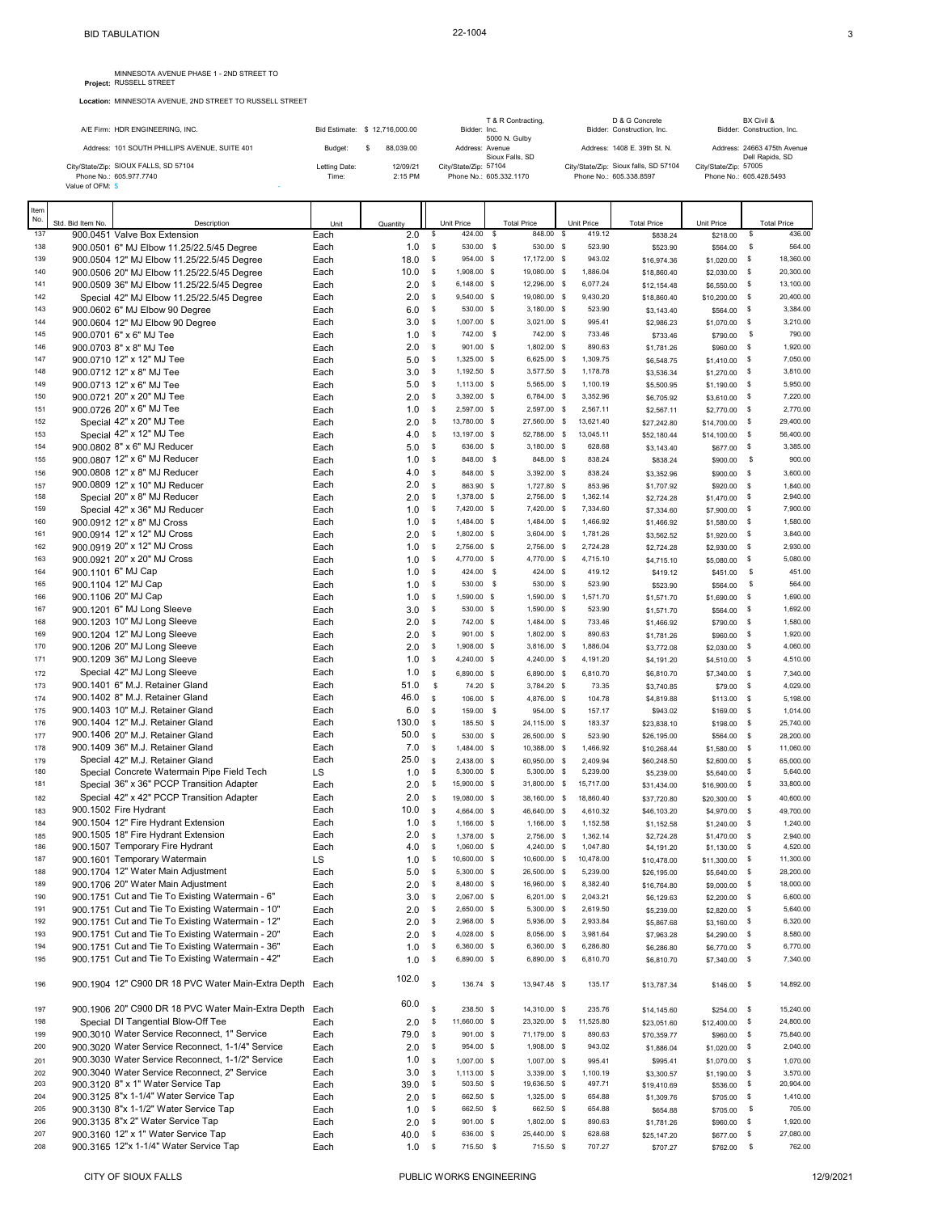MINNESOTA AVENUE PHASE 1 - 2ND STREET TO Project: RUSSELL STREET

**Location:** MINNESOTA AVENUE, 2ND STREET TO RUSSELL STREET

|      |                   | INITIAL COURT AVEINGLY, ZIND OTTALL THO INCODELL |                                |   |           |              |                         |                    |            |                                              |                         |              |                                          |
|------|-------------------|--------------------------------------------------|--------------------------------|---|-----------|--------------|-------------------------|--------------------|------------|----------------------------------------------|-------------------------|--------------|------------------------------------------|
|      |                   | A/E Firm: HDR ENGINEERING, INC.                  | Bid Estimate: \$ 12.716.000.00 |   |           |              | Bidder: Inc.            | T & R Contracting, |            | D & G Concrete<br>Bidder: Construction, Inc. |                         |              | BX Civil &<br>Bidder: Construction, Inc. |
|      |                   | Address: 101 SOUTH PHILLIPS AVENUE, SUITE 401    | Budget:                        | S | 88.039.00 |              | Address: Avenue         | 5000 N. Gulby      |            | Address: 1408 E. 39th St. N.                 |                         |              | Address: 24663 475th Avenue              |
|      |                   | City/State/Zip: SIOUX FALLS, SD 57104            | Letting Date:                  |   | 12/09/21  |              | City/State/Zip: 57104   | Sioux Falls, SD    |            | City/State/Zip: Sioux falls, SD 57104        | City/State/Zip: 57005   |              | Dell Rapids, SD                          |
|      |                   | Phone No.: 605.977.7740                          | Time:                          |   | 2:15 PM   |              | Phone No.: 605.332.1170 |                    |            | Phone No.: 605.338.8597                      | Phone No.: 605.428.5493 |              |                                          |
|      | Value of OFM: \$  |                                                  |                                |   |           |              |                         |                    |            |                                              |                         |              |                                          |
| Item |                   |                                                  |                                |   |           |              |                         |                    |            |                                              |                         |              |                                          |
| No.  | Std. Bid Item No. | Description                                      | Unit                           |   | Quantity  |              | Unit Price              | <b>Total Price</b> | Unit Price | <b>Total Price</b>                           | Unit Price              |              | <b>Total Price</b>                       |
| 137  |                   | 900.0451 Valve Box Extension                     | Each                           |   | 2.0       | <b>S</b>     | 424.00 \$               | 848.00 \$          | 419.12     | \$838.24                                     | \$218.00                | S.           | 436.00                                   |
| 138  |                   | 900.0501 6" MJ Elbow 11.25/22.5/45 Degree        | Each                           |   | 1.0       | \$           | 530.00 \$               | 530.00 \$          | 523.90     | \$523.90                                     | \$564.00                | \$           | 564.00                                   |
| 139  |                   | 900.0504 12" MJ Elbow 11.25/22.5/45 Degree       | Each                           |   | 18.0      | <b>S</b>     | 954.00 \$               | 17.172.00 \$       | 943.02     | \$16,974.36                                  | \$1,020.00              | \$           | 18,360.00                                |
| 140  |                   | 900.0506 20" MJ Elbow 11.25/22.5/45 Degree       | Each                           |   | 10.0      | - S          | 1.908.00 \$             | 19.080.00 \$       | 1.886.04   | \$18,860.40                                  | \$2,030.00              | $\mathbf{s}$ | 20,300.00                                |
| 141  |                   | 900.0509 36" MJ Elbow 11.25/22.5/45 Degree       | Each                           |   | 2.0       | s            | 6,148.00 \$             | 12,296.00 \$       | 6,077.24   | \$12.154.48                                  | \$6,550.00              | \$           | 13,100.00                                |
| 142  |                   | Special 42" MJ Elbow 11.25/22.5/45 Degree        | Each                           |   | 2.0       | <b>S</b>     | 9,540.00 \$             | 19,080.00 \$       | 9,430.20   | \$18,860.40                                  | \$10,200.00 \$          |              | 20,400.00                                |
| 143  |                   | 900.0602 6" MJ Elbow 90 Degree                   | Each                           |   | 6.0       | \$           | 530.00 \$               | $3,180.00$ \$      | 523.90     | \$3,143.40                                   | \$564.00                | - \$         | 3,384.00                                 |
| 144  |                   | 900.0604 12" MJ Elbow 90 Degree                  | Each                           |   | 3.0       | <b>S</b>     | 1.007.00 \$             | $3.021.00$ \$      | 995.41     | \$2,986.23                                   | \$1,070.00 \$           |              | 3,210.00                                 |
| 145  |                   | 900.0701 6" x 6" MJ Tee                          | Each                           |   | 1.0       | $\mathbf{s}$ | 742.00 \$               | 742.00 \$          | 733.46     | \$733.46                                     | \$790.00                | - \$         | 790.00                                   |
| 146  |                   | 900.0703 8" x 8" MJ Tee                          | Each                           |   | 2.0       | $\mathbf{s}$ | 901.00 S                | 1.802.00 \$        | 890.63     | \$1,781.26                                   | \$960.00 \$             |              | 1,920.00                                 |
| 147  |                   | 900.0710 12" x 12" MJ Tee                        | Each                           |   | 5.0       | s            | 1,325.00 \$             | 6,625.00 \$        | 1,309.75   | \$6,548.75                                   | $$1,410.00$ \$          |              | 7,050.00                                 |
| 148  |                   | 900.0712 12" x 8" MJ Tee                         | Each                           |   | 3.0       | <b>S</b>     | 1.192.50 S              | 3.577.50 \$        | 1.178.78   | \$3,536.34                                   | \$1,270.00 \$           |              | 3.810.00                                 |
| 149  |                   | 900.0713 12" x 6" MJ Tee                         | Each                           |   | 5.0       | s            | 1,113.00 \$             | 5,565.00 \$        | 1,100.19   | \$5,500.95                                   | $$1,190.00$ \$          |              | 5,950.00                                 |
| 150  |                   | 900.0721 20" x 20" MJ Tee                        | Each                           |   | 2.0       | <b>S</b>     | 3,392.00 \$             | 6,784.00 \$        | 3,352.96   | \$6,705.92                                   | $$3,610.00$ \$          |              | 7,220.00                                 |
| 151  |                   | 900.0726 20" x 6" MJ Tee                         | Each                           |   | 1.0       | - S          | 2,597.00 \$             | 2,597.00 \$        | 2,567.11   | \$2,567.11                                   | $$2,770.00$ \$          |              | 2,770.00                                 |
| 152  |                   | Special 42" x 20" MJ Tee                         | Each                           |   | 2.0       | <b>S</b>     | 13,780.00 \$            | 27,560.00 \$       | 13,621.40  | \$27,242.80                                  | \$14,700.00 \$          |              | 29,400.00                                |
| 153  |                   | Special 42" x 12" MJ Tee                         | Each                           |   | 4.0       | <b>S</b>     | 13.197.00 \$            | 52,788.00 \$       | 13.045.11  | \$52,180.44                                  | \$14,100.00             | $\mathbf{s}$ | 56,400.00                                |
| 154  |                   | 900.0802 8" x 6" MJ Reducer                      | Each                           |   | 5.0       | <b>S</b>     | 636.00 S                | 3,180.00 \$        | 628.68     | \$3,143.40                                   | \$677.00 \$             |              | 3,385.00                                 |
| 155  |                   | 900.0807 12" x 6" MJ Reducer                     | Each                           |   | 1.0       | <b>S</b>     | 848.00 \$               | 848.00 \$          | 838.24     | \$838.24                                     | \$900.00                | \$           | 900.00                                   |
| 156  |                   | 900.0808 12" x 8" MJ Reducer                     | Each                           |   | 4.0       | $\mathbf{s}$ | 848.00 \$               | 3.392.00 \$        | 838.24     | \$3,352.96                                   | \$900.00 \$             |              | 3.600.00                                 |
| 157  |                   | 900.0809 12" x 10" MJ Reducer                    | Each                           |   | 2.0       | $\mathbf{s}$ | 863.90 S                | 1,727.80 \$        | 853.96     | \$1,707.92                                   | \$920.00 \$             |              | 1,840.00                                 |
| 158  |                   | Special 20" x 8" MJ Reducer                      | Each                           |   | 2.0       | - S          | 1,378.00 \$             | 2,756.00 \$        | 1,362.14   | \$2,724.28                                   | $$1,470.00$ \$          |              | 2,940.00                                 |
| 159  |                   | Special 42" x 36" MJ Reducer                     | Each                           |   | 1.0       | <b>S</b>     | 7.420.00 \$             | 7.420.00 \$        | 7.334.60   | \$7,334.60                                   | \$7,900.00              | \$           | 7,900.00                                 |
| 160  |                   | 900.0912 12" x 8" MJ Cross                       | Each                           |   | 1.0       | s            | 1.484.00 \$             | 1,484.00 \$        | 1.466.92   | \$1,466.92                                   | \$1,580.00              | - \$         | 1,580.00                                 |

| 146 | 900.0703 8" x 8" MJ Tee     |                                                         | Each | 2.0   | \$           | 901.00       | <b>S</b>     | 1.802.00     | <b>S</b>     | 890.63    | \$1,781.26  | \$960.00     | <b>S</b>      | 1.920.00  |
|-----|-----------------------------|---------------------------------------------------------|------|-------|--------------|--------------|--------------|--------------|--------------|-----------|-------------|--------------|---------------|-----------|
| 147 | 900.0710 12" x 12" MJ Tee   |                                                         | Each | 5.0   | \$           | 1,325.00 \$  |              | 6,625.00 \$  |              | 1,309.75  | \$6,548.75  | \$1,410.00   | \$            | 7,050.00  |
| 148 | 900.0712 12" x 8" MJ Tee    |                                                         | Each | 3.0   | s            | 1,192.50 \$  |              | 3,577.50 \$  |              | 1,178.78  | \$3,536.34  | \$1,270.00   | <sub>S</sub>  | 3,810.00  |
| 149 | 900.0713 12" x 6" MJ Tee    |                                                         | Each | 5.0   | s            | 1,113.00 \$  |              | 5,565.00     | \$           | 1,100.19  | \$5,500.95  | \$1,190.00   | <sub>S</sub>  | 5,950.00  |
| 150 | 900.0721 20" x 20" MJ Tee   |                                                         | Each | 2.0   | s            | 3,392.00 \$  |              | 6.784.00 \$  |              | 3,352.96  | \$6,705.92  | \$3,610.00   | \$            | 7,220.00  |
| 151 | 900.0726 20" x 6" MJ Tee    |                                                         | Each | 1.0   | s            | 2,597.00 \$  |              | 2,597.00 \$  |              | 2,567.11  | \$2,567.11  | \$2,770.00   | \$            | 2,770.00  |
| 152 | Special 42" x 20" MJ Tee    |                                                         | Each | 2.0   | \$           | 13,780.00 \$ |              | 27,560.00    | s            | 13,621.40 | \$27,242.80 | \$14,700.00  | \$            | 29,400.00 |
| 153 |                             |                                                         |      |       |              |              |              |              |              |           |             |              |               | 56,400.00 |
| 154 | Special 42" x 12" MJ Tee    |                                                         | Each | 4.0   | \$           | 13,197.00 \$ |              | 52,788.00 \$ |              | 13,045.11 | \$52,180.44 | \$14,100.00  | \$            |           |
|     | 900.0802 8" x 6" MJ Reducer |                                                         | Each | 5.0   | \$           | 636.00 \$    |              | 3,180.00 \$  |              | 628.68    | \$3,143.40  | \$677.00     | \$            | 3,385.00  |
| 155 |                             | 900.0807 12" x 6" MJ Reducer                            | Each | 1.0   | \$           | 848.00       | $\mathbf{s}$ | 848.00 \$    |              | 838.24    | \$838.24    | \$900.00     | $\mathfrak s$ | 900.00    |
| 156 |                             | 900.0808 12" x 8" MJ Reducer                            | Each | 4.0   | \$           | 848.00 \$    |              | 3,392.00 \$  |              | 838.24    | \$3,352.96  | \$900.00     | $\mathbf{s}$  | 3,600.00  |
| 157 |                             | 900.0809 12" x 10" MJ Reducer                           | Each | 2.0   | \$           | 863.90 \$    |              | 1,727.80 \$  |              | 853.96    | \$1,707.92  | \$920.00     | \$            | 1.840.00  |
| 158 |                             | Special 20" x 8" MJ Reducer                             | Each | 2.0   | s            | 1,378.00 \$  |              | 2,756.00 \$  |              | 1,362.14  | \$2,724.28  | \$1,470.00   | <sub>S</sub>  | 2,940.00  |
| 159 |                             | Special 42" x 36" MJ Reducer                            | Each | 1.0   | s            | 7,420.00 \$  |              | 7.420.00 \$  |              | 7,334.60  | \$7,334.60  | \$7,900.00   | <sub>S</sub>  | 7,900.00  |
| 160 | 900.0912 12" x 8" MJ Cross  |                                                         | Each | 1.0   | s            | 1,484.00 \$  |              | 1,484.00     | \$           | 1,466.92  | \$1,466.92  | \$1,580.00   | \$            | 1,580.00  |
| 161 | 900.0914 12" x 12" MJ Cross |                                                         | Each | 2.0   | s            | 1,802.00 \$  |              | 3,604.00 \$  |              | 1,781.26  | \$3,562.52  | \$1,920.00   | \$            | 3,840.00  |
| 162 | 900.0919 20" x 12" MJ Cross |                                                         | Each | 1.0   | s            | 2,756.00 \$  |              | 2,756.00 \$  |              | 2,724.28  | \$2,724.28  | \$2,930.00   | \$            | 2,930.00  |
| 163 | 900.0921 20" x 20" MJ Cross |                                                         | Each | 1.0   | \$           | 4,770.00 \$  |              | 4,770.00 \$  |              | 4,715.10  | \$4,715.10  | \$5,080.00   | \$            | 5,080.00  |
| 164 | 900.1101 6" MJ Cap          |                                                         | Each | 1.0   | \$           | 424.00       | s            | 424.00 \$    |              | 419.12    | \$419.12    | \$451.00     | \$            | 451.00    |
| 165 | 900.1104 12" MJ Cap         |                                                         | Each | 1.0   | <b>S</b>     | 530.00       | - \$         | 530.00 \$    |              | 523.90    | \$523.90    | \$564.00     | \$            | 564.00    |
| 166 | 900.1106 20" MJ Cap         |                                                         | Each | 1.0   | s            | 1,590.00 \$  |              | 1,590.00 \$  |              | 1,571.70  | \$1,571.70  | \$1,690.00   | \$            | 1,690.00  |
| 167 | 900.1201 6" MJ Long Sleeve  |                                                         | Each | 3.0   | \$           | 530.00 \$    |              | 1,590.00 \$  |              | 523.90    | \$1,571.70  | \$564.00     | \$            | 1,692.00  |
| 168 |                             | 900.1203 10" MJ Long Sleeve                             | Each | 2.0   | \$           | 742.00 \$    |              | 1,484.00 \$  |              | 733.46    | \$1,466.92  | \$790.00     | <sub>S</sub>  | 1,580.00  |
| 169 |                             | 900.1204 12" MJ Long Sleeve                             | Each | 2.0   | \$           | 901.00 \$    |              | 1,802.00 \$  |              | 890.63    | \$1,781.26  | \$960.00     | \$            | 1,920.00  |
| 170 |                             | 900.1206 20" MJ Long Sleeve                             | Each | 2.0   | s            | 1,908.00 \$  |              | 3,816.00 \$  |              | 1,886.04  | \$3,772.08  | \$2,030.00   | \$            | 4,060.00  |
| 171 |                             | 900.1209 36" MJ Long Sleeve                             | Each | $1.0$ | s            | 4,240.00 \$  |              | 4,240.00     | <b>S</b>     | 4,191.20  |             |              | \$            | 4,510.00  |
|     |                             |                                                         | Each | 1.0   |              |              |              |              |              |           | \$4,191.20  | \$4,510.00   |               |           |
| 172 |                             | Special 42" MJ Long Sleeve                              |      |       | s            | 6,890.00 \$  |              | 6,890.00 \$  |              | 6,810.70  | \$6,810.70  | \$7,340.00   | $\mathbf{s}$  | 7,340.00  |
| 173 |                             | 900.1401 6" M.J. Retainer Gland                         | Each | 51.0  | $\mathbb{S}$ | 74.20 \$     |              | 3.784.20 S   |              | 73.35     | \$3,740.85  | \$79.00      | $\mathbf{s}$  | 4,029.00  |
| 174 |                             | 900.1402 8" M.J. Retainer Gland                         | Each | 46.0  | \$           | 106.00 \$    |              | 4,876.00 \$  |              | 104.78    | \$4,819.88  | \$113.00     | \$            | 5,198.00  |
| 175 |                             | 900.1403 10" M.J. Retainer Gland                        | Each | 6.0   | \$           | 159.00 \$    |              | 954.00 \$    |              | 157.17    | \$943.02    | \$169.00     | <b>S</b>      | 1.014.00  |
| 176 |                             | 900.1404 12" M.J. Retainer Gland                        | Each | 130.0 | \$           | 185.50 \$    |              | 24,115.00 \$ |              | 183.37    | \$23,838.10 | \$198.00     | <b>S</b>      | 25,740.00 |
| 177 |                             | 900.1406 20" M.J. Retainer Gland                        | Each | 50.0  | \$           | 530.00 \$    |              | 26,500.00 \$ |              | 523.90    | \$26,195.00 | \$564.00     | \$.           | 28,200.00 |
| 178 |                             | 900.1409 36" M.J. Retainer Gland                        | Each | $7.0$ | s            | 1,484.00 \$  |              | 10.388.00    | <b>S</b>     | 1.466.92  | \$10,268.44 | \$1,580.00   | <b>S</b>      | 11,060.00 |
| 179 |                             | Special 42" M.J. Retainer Gland                         | Each | 25.0  | s            | 2.438.00 \$  |              | 60,950.00    | $\mathbf{s}$ | 2.409.94  | \$60,248.50 | \$2,600.00   | <b>S</b>      | 65.000.00 |
| 180 |                             | Special Concrete Watermain Pipe Field Tech              | LS   | 1.0   | s            | 5,300.00 \$  |              | 5,300.00     | \$           | 5,239.00  | \$5,239.00  | \$5,640.00   | \$            | 5,640.00  |
| 181 |                             | Special 36" x 36" PCCP Transition Adapter               | Each | 2.0   | $\mathbb{S}$ | 15,900.00 \$ |              | 31,800.00 \$ |              | 15,717.00 | \$31,434.00 | \$16,900.00  | $\mathbb{S}$  | 33,800.00 |
| 182 |                             | Special 42" x 42" PCCP Transition Adapter               | Each | 2.0   | \$           | 19,080.00 \$ |              | 38.160.00 \$ |              | 18,860.40 | \$37,720.80 | \$20,300.00  | -S            | 40,600.00 |
| 183 | 900.1502 Fire Hydrant       |                                                         | Each | 10.0  | s            | 4,664.00 \$  |              | 46,640.00 \$ |              | 4,610.32  | \$46,103.20 | \$4,970.00   | \$            | 49,700.00 |
| 184 |                             | 900.1504 12" Fire Hydrant Extension                     | Each | 1.0   | s            | 1,166.00 \$  |              | 1,166.00 \$  |              | 1,152.58  | \$1,152.58  | \$1,240.00   | $\mathbb{S}$  | 1,240.00  |
| 185 |                             | 900.1505 18" Fire Hydrant Extension                     | Each | 2.0   | s            | 1,378.00 \$  |              | 2,756.00 \$  |              | 1.362.14  | \$2,724.28  | \$1,470.00   | \$            | 2,940.00  |
| 186 |                             | 900.1507 Temporary Fire Hydrant                         | Each | 4.0   | s            | 1,060.00 \$  |              | 4,240.00     | \$           | 1,047.80  | \$4,191.20  | \$1,130.00   | \$            | 4,520.00  |
| 187 |                             | 900.1601 Temporary Watermain                            | LS   | 1.0   | \$           | 10,600.00 \$ |              | 10,600.00 \$ |              | 10.478.00 | \$10,478.00 | \$11,300.00  | \$            | 11.300.00 |
| 188 |                             | 900.1704 12" Water Main Adjustment                      | Each | 5.0   | s            | 5,300.00 \$  |              | 26,500.00 \$ |              | 5.239.00  | \$26,195.00 | \$5,640.00   | \$            | 28,200.00 |
| 189 |                             | 900.1706 20" Water Main Adjustment                      | Each | 2.0   | s            | 8,480.00 \$  |              | 16,960.00 \$ |              | 8,382.40  | \$16,764.80 | \$9,000.00   | \$            | 18,000.00 |
| 190 |                             | 900.1751 Cut and Tie To Existing Watermain - 6"         | Each | 3.0   | s            | 2,067.00 \$  |              | 6,201.00 \$  |              | 2,043.21  | \$6,129.63  | \$2,200.00   | \$            | 6,600.00  |
| 191 |                             | 900.1751 Cut and Tie To Existing Watermain - 10"        | Each | 2.0   | s            | 2,650.00 \$  |              | 5,300.00 \$  |              | 2.619.50  | \$5,239.00  | \$2,820.00   | \$            | 5,640.00  |
| 192 |                             | 900.1751 Cut and Tie To Existing Watermain - 12"        | Each | 2.0   | \$           | 2,968.00 \$  |              | 5,936.00 \$  |              | 2,933.84  | \$5,867.68  | \$3,160.00   | $\mathbb{S}$  | 6,320.00  |
|     |                             |                                                         |      |       | s            | 4,028.00 \$  |              | 8,056.00 \$  |              | 3,981.64  |             |              | \$            | 8,580.00  |
| 193 |                             | 900.1751 Cut and Tie To Existing Watermain - 20"        | Each | 2.0   |              |              |              |              |              |           | \$7,963.28  | \$4,290.00   |               |           |
| 194 |                             | 900.1751 Cut and Tie To Existing Watermain - 36"        | Each | 1.0   | s            | 6,360.00 \$  |              | 6,360.00     | $\mathbf s$  | 6.286.80  | \$6,286.80  | \$6,770.00   | \$            | 6,770.00  |
| 195 |                             | 900.1751 Cut and Tie To Existing Watermain - 42"        | Each | 1.0   | \$           | 6,890.00 \$  |              | 6,890.00     | \$           | 6,810.70  | \$6,810.70  | \$7,340.00   | \$            | 7,340.00  |
| 196 |                             | 900.1904 12" C900 DR 18 PVC Water Main-Extra Depth Each |      | 102.0 | \$           | 136.74 \$    |              | 13,947.48 \$ |              | 135.17    | \$13,787.34 | $$146.00$ \$ |               | 14,892.00 |
|     |                             |                                                         |      | 60.0  | \$.          | 238.50 \$    |              |              |              |           |             |              |               |           |
| 197 |                             | 900.1906 20" C900 DR 18 PVC Water Main-Extra Depth Each |      |       |              |              |              | 14,310.00 \$ |              | 235.76    | \$14,145.60 | \$254.00     | \$            | 15,240.00 |
| 198 |                             | Special DI Tangential Blow-Off Tee                      | Each | 2.0   | \$           | 11,660.00 \$ |              | 23,320.00    | <b>S</b>     | 11,525.80 | \$23,051.60 | \$12,400.00  | \$            | 24,800.00 |
| 199 |                             | 900.3010 Water Service Reconnect, 1" Service            | Each | 79.0  | \$           | 901.00 \$    |              | 71,179.00 \$ |              | 890.63    | \$70,359.77 | \$960.00     | \$            | 75,840.00 |
| 200 |                             | 900.3020 Water Service Reconnect, 1-1/4" Service        | Each | 2.0   | \$           | 954.00 \$    |              | 1,908.00 \$  |              | 943.02    | \$1,886.04  | \$1,020.00   | $\mathbb{S}$  | 2,040.00  |
| 201 |                             | 900.3030 Water Service Reconnect, 1-1/2" Service        | Each | 1.0   | s            | 1,007.00 \$  |              | 1,007.00 \$  |              | 995.41    | \$995.41    | \$1,070.00   | \$            | 1,070.00  |
| 202 |                             | 900.3040 Water Service Reconnect, 2" Service            | Each | 3.0   | \$           | 1,113.00 \$  |              | 3,339.00     | $\mathbb{S}$ | 1,100.19  | \$3,300.57  | \$1,190.00   | \$            | 3,570.00  |
| 203 |                             | 900.3120 8" x 1" Water Service Tap                      | Each | 39.0  | \$           | 503.50 \$    |              | 19,636.50 \$ |              | 497.71    | \$19,410.69 | \$536.00     | \$            | 20,904.00 |
| 204 |                             | 900.3125 8"x 1-1/4" Water Service Tap                   | Each | 2.0   | \$           | 662.50 \$    |              | 1,325.00 \$  |              | 654.88    | \$1,309.76  | \$705.00     | \$            | 1,410.00  |
| 205 |                             | 900.3130 8"x 1-1/2" Water Service Tap                   | Each | 1.0   | \$           | 662.50       | $\mathbf{s}$ | 662.50 \$    |              | 654.88    | \$654.88    | \$705.00     | <b>S</b>      | 705.00    |
| 206 |                             | 900.3135 8"x 2" Water Service Tap                       | Each | 2.0   | \$           | 901.00 \$    |              | 1,802.00 \$  |              | 890.63    | \$1,781.26  | \$960.00     | \$            | 1,920.00  |
| 207 |                             | 900.3160 12" x 1" Water Service Tap                     | Each | 40.0  | <b>S</b>     | 636.00 \$    |              | 25.440.00 \$ |              | 628.68    | \$25,147.20 | \$677.00     | <b>S</b>      | 27.080.00 |

900.3165 12"x 1-1/4" Water Service Tap Each 1.0 \$ 715.50 \$ 715.50 \$ 707.27 \$707.27 \$762.00 \$ 762.00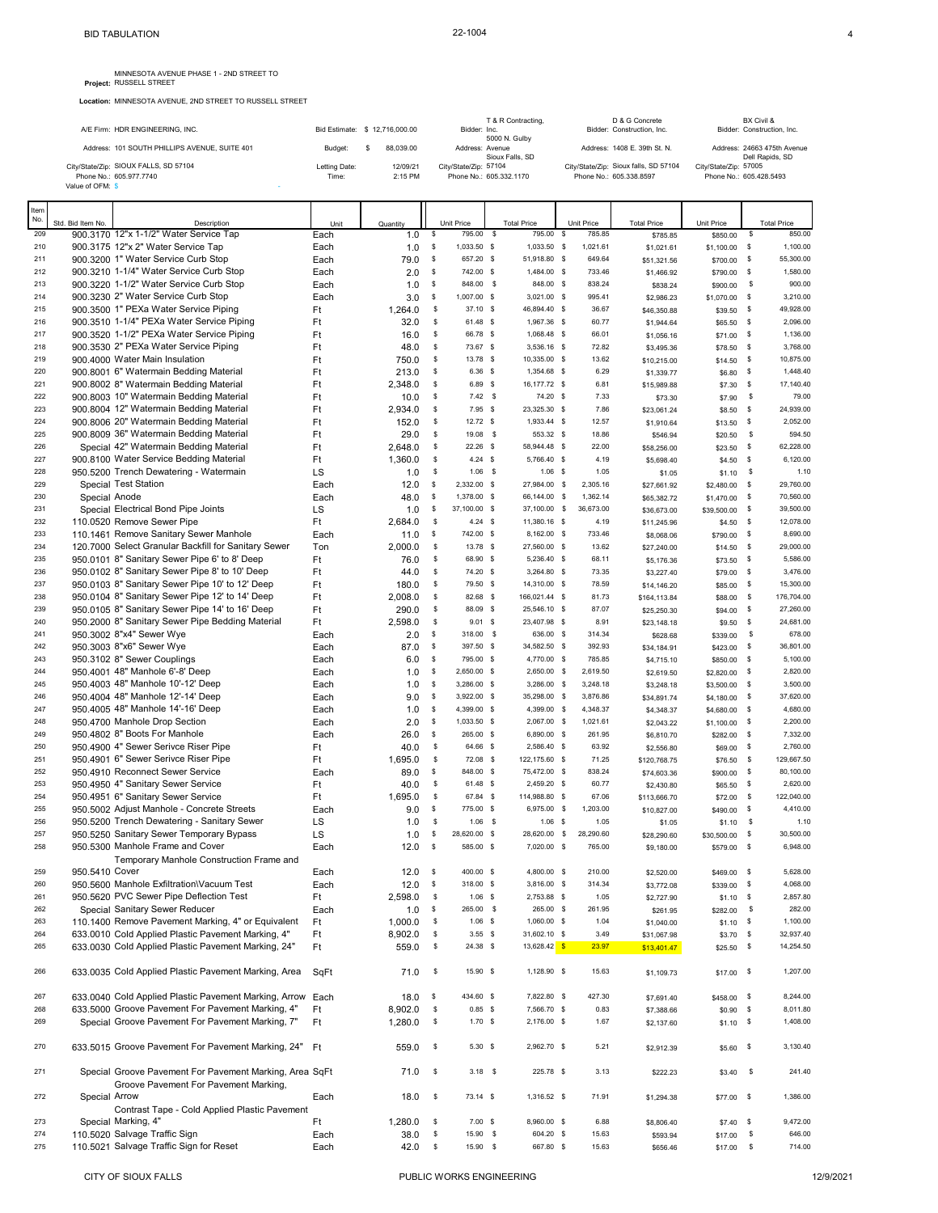**Location:** MINNESOTA AVENUE, 2ND STREET TO RUSSELL STREET

| A/E Firm: HDR ENGINEERING, INC.                                                      | Bid Estimate: \$12,716,000.00 |                     | Bidder: Inc.          | T & R Contracting,<br>5000 N. Gulby | D & G Concrete<br>Bidder: Construction, Inc.                     |                       | BX Civil &<br>Bidder: Construction, Inc.       |
|--------------------------------------------------------------------------------------|-------------------------------|---------------------|-----------------------|-------------------------------------|------------------------------------------------------------------|-----------------------|------------------------------------------------|
| Address: 101 SOUTH PHILLIPS AVENUE, SUITE 401                                        | Budget:                       | 88.039.00           |                       | Address: Avenue<br>Sioux Falls, SD  | Address: 1408 E. 39th St. N.                                     |                       | Address: 24663 475th Avenue<br>Dell Rapids, SD |
| City/State/Zip: SIOUX FALLS, SD 57104<br>Phone No.: 605.977.7740<br>Value of OFM: \$ | Letting Date:<br>Time:        | 12/09/21<br>2:15 PM | City/State/Zip: 57104 | Phone No.: 605.332.1170             | City/State/Zip: Sioux falls, SD 57104<br>Phone No.: 605.338.8597 | City/State/Zip: 57005 | Phone No.: 605.428.5493                        |
| Item                                                                                 |                               |                     |                       |                                     |                                                                  |                       |                                                |

| ື<br>No.   | Std. Bid Item No | Description                                                                                      | Unit         | Quantity        |              | Unit Price                 |              | <b>Total Price</b>           | Unit Price             | <b>Total Price</b>        | Unit Price               |                    | <b>Total Price</b>     |
|------------|------------------|--------------------------------------------------------------------------------------------------|--------------|-----------------|--------------|----------------------------|--------------|------------------------------|------------------------|---------------------------|--------------------------|--------------------|------------------------|
| 209        |                  | 900.3170 12"x 1-1/2" Water Service Tap                                                           | Each         | 1.0             | \$           | 795.00                     | \$           | 795.00                       | $\mathbb{S}$<br>785.85 | \$785.85                  | \$850.00                 | \$                 | 850.00                 |
| 210        |                  | 900.3175 12"x 2" Water Service Tap                                                               | Each         | 1.0             | s            | 1,033.50 \$                |              | 1,033.50 \$                  | 1,021.61               | \$1,021.61                | \$1,100.00               | -\$                | 1,100.00               |
| 211        |                  | 900.3200 1" Water Service Curb Stop                                                              | Each         | 79.0            | \$           | 657.20 \$                  |              | 51,918.80 \$                 | 649.64                 | \$51,321.56               | \$700.00                 | - \$               | 55,300.00              |
| 212        |                  | 900.3210 1-1/4" Water Service Curb Stop                                                          | Each         | 2.0             | \$           | 742.00 \$                  |              | 1,484.00 \$                  | 733.46                 | \$1,466.92                | \$790.00                 | $\mathsf{S}$       | 1,580.00               |
| 213        |                  | 900.3220 1-1/2" Water Service Curb Stop                                                          | Each         | 1.0             | \$           | 848.00                     | - \$         | 848.00 \$                    | 838.24                 | \$838.24                  | \$900.00                 | \$                 | 900.00                 |
| 214        |                  | 900.3230 2" Water Service Curb Stop                                                              | Each         | 3.0             | s            | 1,007.00 \$                |              | 3,021.00 \$                  | 995.41                 | \$2,986.23                | \$1,070.00               | - \$               | 3,210.00               |
| 215        |                  | 900.3500 1" PEXa Water Service Piping                                                            | Ft           | 1,264.0         | \$           | 37.10 \$                   |              | 46,894.40 \$                 | 36.67                  | \$46,350.88               | \$39.50                  | -\$                | 49,928.00              |
| 216        |                  | 900.3510 1-1/4" PEXa Water Service Piping                                                        | Ft           | 32.0            | \$           | 61.48 \$                   |              | 1,967.36 \$                  | 60.77                  | \$1,944.64                | \$65.50                  | - \$               | 2,096.00               |
| 217<br>218 |                  | 900.3520 1-1/2" PEXa Water Service Piping<br>900.3530 2" PEXa Water Service Piping               | Ft           | 16.0            | \$<br>\$     | 66.78 \$<br>73.67 \$       |              | 1,068.48 \$<br>3,536.16 \$   | 66.01<br>72.82         | \$1,056.16                | \$71.00                  | - \$               | 1,136.00<br>3,768.00   |
| 219        |                  | 900,4000 Water Main Insulation                                                                   | Ft<br>Ft     | 48.0<br>750.0   | \$           | 13.78 \$                   |              | 10,335.00 \$                 | 13.62                  | \$3,495.36<br>\$10,215.00 | \$78.50<br>\$14.50       | - \$<br>\$         | 10,875.00              |
| 220        |                  | 900.8001 6" Watermain Bedding Material                                                           | Ft           | 213.0           | \$           | 6.36 \$                    |              | 1,354.68 \$                  | 6.29                   | \$1,339.77                | \$6.80                   | - \$               | 1,448.40               |
| 221        |                  | 900.8002 8" Watermain Bedding Material                                                           | Ft           | 2,348.0         | \$           | $6.89$ \$                  |              | 16,177.72 \$                 | 6.81                   | \$15,989.88               | \$7.30                   | - \$               | 17,140.40              |
| 222        |                  | 900.8003 10" Watermain Bedding Material                                                          | Ft           | 10.0            | \$           | 7.42 S                     |              | 74.20 \$                     | 7.33                   | \$73.30                   | \$7.90                   | \$                 | 79.00                  |
| 223        |                  | 900.8004 12" Watermain Bedding Material                                                          | Ft           | 2,934.0         | \$           | $7.95$ \$                  |              | 23,325.30 \$                 | 7.86                   | \$23,061.24               | \$8.50                   | \$                 | 24,939.00              |
| 224        |                  | 900.8006 20" Watermain Bedding Material                                                          | Ft           | 152.0           | \$           | $12.72$ \$                 |              | 1,933.44 \$                  | 12.57                  | \$1,910.64                | \$13.50                  | - \$               | 2,052.00               |
| 225        |                  | 900.8009 36" Watermain Bedding Material                                                          | Ft           | 29.0            | \$           | 19.08 \$                   |              | 553.32 \$                    | 18.86                  | \$546.94                  | \$20.50                  | \$                 | 594.50                 |
| 226        |                  | Special 42" Watermain Bedding Material                                                           | Ft           | 2,648.0         | \$           | 22.26 \$                   |              | 58,944.48 \$                 | 22.00                  | \$58,256.00               | \$23.50                  | \$                 | 62,228.00              |
| 227        |                  | 900.8100 Water Service Bedding Material                                                          | Ft           | 1,360.0         | \$           | $4.24$ \$                  |              | 5,766.40 \$                  | 4.19                   | \$5,698.40                | \$4.50                   | - \$               | 6,120.00               |
| 228        |                  | 950.5200 Trench Dewatering - Watermain                                                           | LS           | 1.0             | \$           | 1.06                       | \$           | $1.06$ \$                    | 1.05                   | \$1.05                    | \$1.10                   | s                  | 1.10                   |
| 229        |                  | Special Test Station                                                                             | Each         | 12.0            | s            | 2,332.00 \$                |              | 27,984.00 \$                 | 2,305.16               | \$27,661.92               | \$2,480.00               | \$                 | 29,760.00              |
| 230        | Special Anode    | Special Electrical Bond Pipe Joints                                                              | Each         | 48.0            | s            | 1,378.00 \$                |              | 66,144.00 \$<br>37,100.00 \$ | 1,362.14               | \$65,382.72               | \$1,470.00               | - \$               | 70,560.00              |
| 231<br>232 |                  | 110.0520 Remove Sewer Pipe                                                                       | LS<br>Ft     | 1.0<br>2,684.0  | \$<br>\$     | 37,100.00 \$<br>$4.24$ \$  |              | 11,380.16 \$                 | 36,673.00<br>4.19      | \$36,673.00               | \$39,500.00              | $\mathbb{S}$<br>\$ | 39,500.00<br>12,078.00 |
| 233        |                  | 110.1461 Remove Sanitary Sewer Manhole                                                           | Each         | 11.0            | \$           | 742.00 \$                  |              | 8,162.00 \$                  | 733.46                 | \$11,245.96<br>\$8,068.06 | \$4.50<br>\$790.00       | - \$               | 8,690.00               |
| 234        |                  | 120.7000 Select Granular Backfill for Sanitary Sewer                                             | Ton          | 2,000.0         | \$           | 13.78 \$                   |              | 27,560.00 \$                 | 13.62                  | \$27,240.00               | \$14.50                  | $\sqrt{5}$         | 29,000.00              |
| 235        |                  | 950.0101 8" Sanitary Sewer Pipe 6' to 8' Deep                                                    | Ft           | 76.0            | \$           | 68.90 \$                   |              | 5,236.40 \$                  | 68.11                  | \$5,176.36                | \$73.50                  | - \$               | 5,586.00               |
| 236        |                  | 950.0102 8" Sanitary Sewer Pipe 8' to 10' Deep                                                   | Ft           | 44.0            | \$           | 74.20 \$                   |              | 3,264.80 \$                  | 73.35                  | \$3,227.40                | \$79.00                  | - \$               | 3,476.00               |
| 237        |                  | 950.0103 8" Sanitary Sewer Pipe 10' to 12' Deep                                                  | Ft           | 180.0           | \$           | 79.50 \$                   |              | 14,310.00 \$                 | 78.59                  | \$14,146.20               | \$85.00                  | - \$               | 15,300.00              |
| 238        |                  | 950.0104 8" Sanitary Sewer Pipe 12' to 14' Deep                                                  | Ft           | 2,008.0         | \$           | 82.68 \$                   |              | 166,021.44 \$                | 81.73                  | \$164,113.84              | \$88.00                  | <b>S</b>           | 176,704.00             |
| 239        |                  | 950.0105 8" Sanitary Sewer Pipe 14' to 16' Deep                                                  | Ft           | 290.0           | \$           | 88.09 \$                   |              | 25,546.10 \$                 | 87.07                  | \$25,250.30               | \$94.00                  | - \$               | 27,260.00              |
| 240        |                  | 950.2000 8" Sanitary Sewer Pipe Bedding Material                                                 | Ft           | 2,598.0         | \$           | $9.01$ \$                  |              | 23,407.98 \$                 | 8.91                   | \$23,148.18               | \$9.50                   | \$                 | 24,681.00              |
| 241        |                  | 950.3002 8"x4" Sewer Wye                                                                         | Each         | 2.0             | \$           | 318.00 \$                  |              | 636.00 \$                    | 314.34                 | \$628.68                  | \$339.00                 | $\mathbb S$        | 678.00                 |
| 242        |                  | 950.3003 8"x6" Sewer Wye                                                                         | Each         | 87.0            | \$           | 397.50 \$                  |              | 34,582.50 \$                 | 392.93                 | \$34,184.91               | \$423.00                 | - \$               | 36,801.00              |
| 243        |                  | 950.3102 8" Sewer Couplings                                                                      | Each         | 6.0             | \$           | 795.00                     | - S          | 4,770.00 \$                  | 785.85                 | \$4,715.10                | \$850.00                 | - \$               | 5,100.00               |
| 244        |                  | 950.4001 48" Manhole 6'-8' Deep                                                                  | Each         | 1.0             | s            | 2,650.00 \$                |              | 2,650.00 \$                  | 2,619.50               | \$2,619.50                | \$2,820.00               | - \$               | 2,820.00               |
| 245        |                  | 950.4003 48" Manhole 10'-12' Deep                                                                | Each         | 1.0             | s            | 3,286.00 \$                |              | 3,286.00 \$                  | 3,248.18               | \$3,248.18                | \$3,500.00               | - \$               | 3,500.00               |
| 246<br>247 |                  | 950.4004 48" Manhole 12'-14' Deep<br>950.4005 48" Manhole 14'-16' Deep                           | Each<br>Each | 9.0<br>1.0      | s<br>s       | 3,922.00 \$<br>4,399.00 \$ |              | 35,298.00 \$<br>4,399.00 \$  | 3,876.86<br>4,348.37   | \$34,891.74               | \$4,180.00               | \$<br>- \$         | 37,620.00<br>4,680.00  |
| 248        |                  | 950.4700 Manhole Drop Section                                                                    | Each         | 2.0             | s            | 1,033.50 \$                |              | 2,067.00 \$                  | 1,021.61               | \$4,348.37<br>\$2,043.22  | \$4,680.00<br>\$1,100.00 | $\mathsf{S}$       | 2,200.00               |
| 249        |                  | 950.4802 8" Boots For Manhole                                                                    | Each         | 26.0            | \$           | 265.00                     | <b>S</b>     | 6,890.00 \$                  | 261.95                 | \$6,810.70                | \$282.00                 | - \$               | 7,332.00               |
| 250        |                  | 950.4900 4" Sewer Serivce Riser Pipe                                                             | Ft           | 40.0            | \$           | 64.66 \$                   |              | 2,586.40 \$                  | 63.92                  | \$2,556.80                | \$69.00                  | \$                 | 2,760.00               |
| 251        |                  | 950.4901 6" Sewer Serivce Riser Pipe                                                             | Ft           | 1,695.0         | \$           | 72.08 \$                   |              | 122,175.60 \$                | 71.25                  | \$120,768.75              | \$76.50                  | - S                | 129,667.50             |
| 252        |                  | 950.4910 Reconnect Sewer Service                                                                 | Each         | 89.0            | \$           | 848.00 \$                  |              | 75,472.00 \$                 | 838.24                 | \$74,603.36               | \$900.00                 | $\mathbb{S}$       | 80,100.00              |
| 253        |                  | 950.4950 4" Sanitary Sewer Service                                                               | Ft           | 40.0            | \$           | 61.48 \$                   |              | 2,459.20 \$                  | 60.77                  | \$2,430.80                | \$65.50                  | - \$               | 2,620.00               |
| 254        |                  | 950.4951 6" Sanitary Sewer Service                                                               | Ft           | 1,695.0         | \$           | 67.84 \$                   |              | 114,988.80 \$                | 67.06                  | \$113,666.70              | \$72.00                  | <b>S</b>           | 122,040.00             |
| 255        |                  | 950.5002 Adjust Manhole - Concrete Streets                                                       | Each         | 9.0             | \$           | 775.00 \$                  |              | 6,975.00 \$                  | 1,203.00               | \$10,827.00               | \$490.00                 | $\mathbb{S}$       | 4,410.00               |
| 256        |                  | 950.5200 Trench Dewatering - Sanitary Sewer                                                      | LS           | 1.0             | \$           | $1.06$ \$                  |              | $1.06$ \$                    | 1.05                   | \$1.05                    | \$1.10                   | <b>S</b>           | 1.10                   |
| 257        |                  | 950.5250 Sanitary Sewer Temporary Bypass                                                         | LS           | 1.0             | $\mathbb{S}$ | 28,620.00                  | $\mathbb{S}$ | 28,620.00 \$                 | 28,290.60              | \$28,290.60               | \$30,500.00              | \$                 | 30,500.00              |
| 258        |                  | 950.5300 Manhole Frame and Cover                                                                 | Each         | 12.0            | \$           | 585.00 \$                  |              | 7,020.00 \$                  | 765.00                 | \$9,180.00                | \$579.00                 | - \$               | 6,948.00               |
|            |                  | Temporary Manhole Construction Frame and                                                         |              |                 |              |                            |              |                              |                        |                           |                          |                    |                        |
| 259        | 950.5410 Cover   | 950.5600 Manhole Exfiltration\Vacuum Test                                                        | Each         | 12.0            | \$           | 400.00 \$<br>318.00 \$     |              | 4,800.00 \$<br>3,816.00 \$   | 210.00                 | \$2,520.00                | \$469.00                 | - \$               | 5,628.00               |
| 260<br>261 |                  | 950.5620 PVC Sewer Pipe Deflection Test                                                          | Each<br>Ft   | 12.0<br>2.598.0 | \$<br>\$     | $1.06$ \$                  |              | 2,753.88 \$                  | 314.34<br>1.05         | \$3,772.08                | \$339.00<br>\$1.10       | - \$<br>-S         | 4,068.00<br>2,857.80   |
| 262        |                  | Special Sanitary Sewer Reducer                                                                   | Each         | 1.0             | \$           | 265.00 \$                  |              | 265.00 \$                    | 261.95                 | \$2,727.90<br>\$261.95    | \$282.00                 | $\mathbb{S}$       | 282.00                 |
| 263        |                  | 110.1400 Remove Pavement Marking, 4" or Equivalent                                               | Ft           | 1,000.0         | \$           | $1.06$ \$                  |              | 1,060.00 \$                  | 1.04                   | \$1,040.00                | $$1.10$ \$               |                    | 1,100.00               |
| 264        |                  | 633,0010 Cold Applied Plastic Pavement Marking, 4"                                               | Ft           | 8,902.0         | \$           | $3.55$ \$                  |              | 31,602.10 \$                 | 3.49                   | \$31,067.98               | \$3.70                   | $\mathbb{S}$       | 32,937.40              |
| 265        |                  | 633.0030 Cold Applied Plastic Pavement Marking, 24"                                              | Ft           | 559.0           | \$           | 24.38 \$                   |              | $13,628.42$ S                | 23.97                  | \$13,401.47               | $$25.50$ \$              |                    | 14,254.50              |
|            |                  |                                                                                                  |              |                 |              |                            |              |                              |                        |                           |                          |                    |                        |
| 266        |                  | 633.0035 Cold Applied Plastic Pavement Marking, Area                                             | SqFt         | 71.0            | \$           | 15.90 \$                   |              | 1,128.90 \$                  | 15.63                  | \$1,109.73                | \$17.00                  | $\mathbb{S}$       | 1,207.00               |
| 267        |                  | 633.0040 Cold Applied Plastic Pavement Marking, Arrow Each                                       |              | 18.0            | \$           | 434.60 \$                  |              | 7,822.80 \$                  | 427.30                 | \$7,691.40                | \$458.00 \$              |                    | 8,244.00               |
| 268        |                  | 633,5000 Groove Pavement For Pavement Marking, 4"                                                | Ft           | 8,902.0         | \$           | $0.85$ \$                  |              | 7,566.70 \$                  | 0.83                   | \$7,388.66                | \$0.90                   | \$                 | 8,011.80               |
| 269        |                  | Special Groove Pavement For Pavement Marking, 7"                                                 | Ft           | 1,280.0         | \$           | 1.70S                      |              | 2,176.00 \$                  | 1.67                   | \$2,137.60                | \$1.10                   | $\mathbb{S}$       | 1,408.00               |
| 270        |                  | 633.5015 Groove Pavement For Pavement Marking, 24"                                               | Ft           | 559.0           | \$           | 5.30 S                     |              | 2,962.70 \$                  | 5.21                   | \$2,912.39                | \$5.60                   | $\mathbb{S}$       | 3,130.40               |
| 271        |                  | Special Groove Pavement For Pavement Marking, Area SqFt<br>Groove Pavement For Pavement Marking, |              | 71.0            | \$           | $3.18$ \$                  |              | 225.78 \$                    | 3.13                   | \$222.23                  | \$3.40                   | \$                 | 241.40                 |
| 272        | Special Arrow    | Contrast Tape - Cold Applied Plastic Pavement                                                    | Each         | 18.0            | \$           | $73.14$ \$                 |              | 1,316.52 \$                  | 71.91                  | \$1,294.38                | \$77.00 \$               |                    | 1,386.00               |
| 273        |                  | Special Marking, 4"                                                                              | Ft           | 1,280.0         | \$           | 7.00 S                     |              | 8,960.00 \$                  | 6.88                   | \$8,806.40                | \$7.40                   | - \$               | 9,472.00               |
| 274        |                  | 110.5020 Salvage Traffic Sign                                                                    | Each         | 38.0            | \$           | 15.90 \$                   |              | 604.20 \$                    | 15.63                  | \$593.94                  | \$17.00                  | $\mathbb{S}$       | 646.00                 |
| 275        |                  | 110.5021 Salvage Traffic Sign for Reset                                                          | Each         | 42.0            | \$           | 15.90 \$                   |              | 667.80 \$                    | 15.63                  | \$656.46                  | \$17.00                  | \$                 | 714.00                 |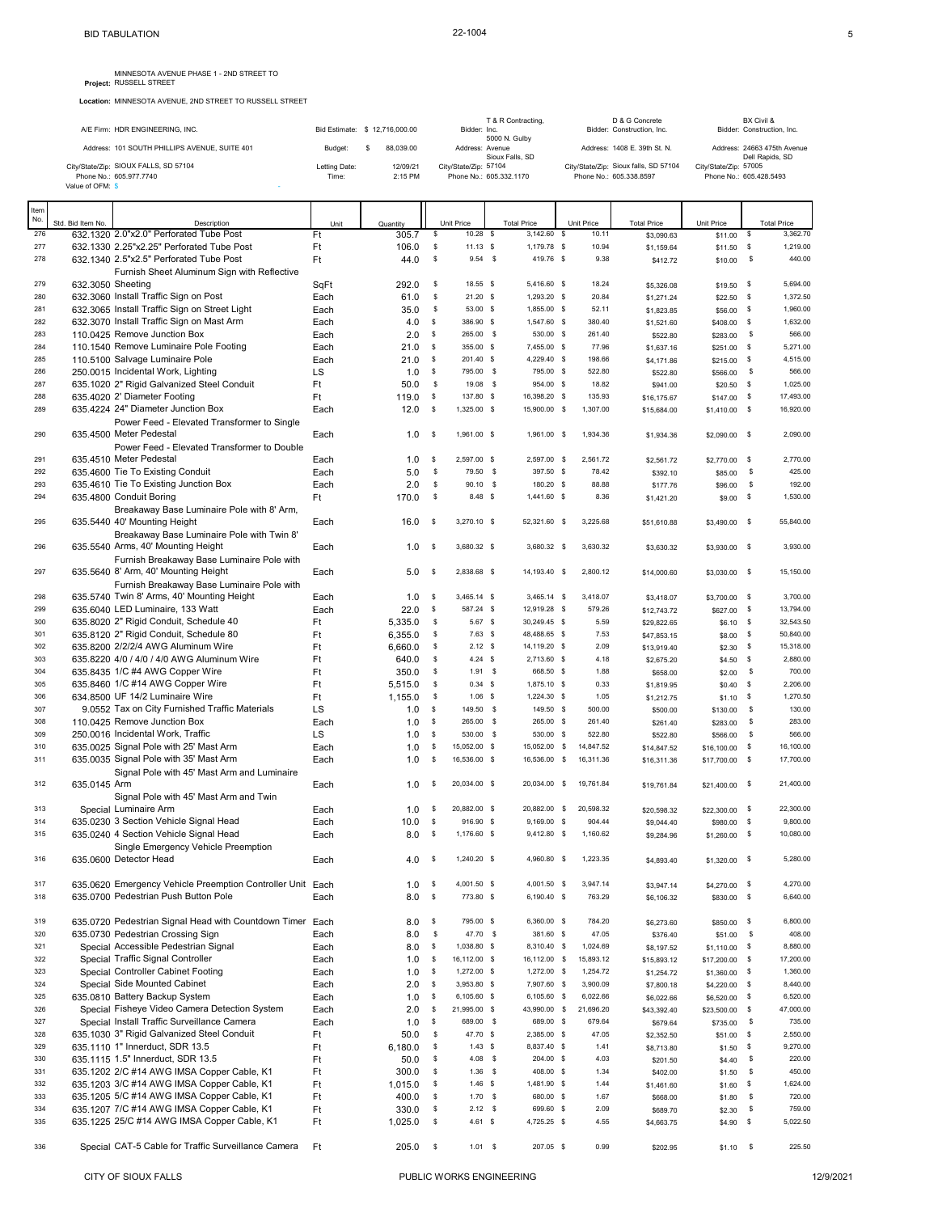## MINNESOTA AVENUE PHASE 1 - 2ND STREET TO Project: RUSSELL STREET

**Location:** MINNESOTA AVENUE, 2ND STREET TO RUSSELL STREET

|            |                   |                                                                                          |               |                                |          |                             | T & R Contracting.          |                        | D & G Concrete                        |                           |                  | BX Civil &                                     |
|------------|-------------------|------------------------------------------------------------------------------------------|---------------|--------------------------------|----------|-----------------------------|-----------------------------|------------------------|---------------------------------------|---------------------------|------------------|------------------------------------------------|
|            |                   | A/E Firm: HDR ENGINEERING, INC.                                                          |               | Bid Estimate: \$ 12,716,000.00 |          | Bidder: Inc.                | 5000 N. Gulby               |                        | Bidder: Construction, Inc.            |                           |                  | Bidder: Construction, Inc.                     |
|            |                   | Address: 101 SOUTH PHILLIPS AVENUE, SUITE 401                                            | Budget:       | 88,039.00<br>s                 |          | Address: Avenue             | Sioux Falls, SD             |                        | Address: 1408 E. 39th St. N.          |                           |                  | Address: 24663 475th Avenue<br>Dell Rapids, SD |
|            |                   | City/State/Zip: SIOUX FALLS, SD 57104                                                    | Letting Date: | 12/09/21                       |          | City/State/Zip: 57104       |                             |                        | City/State/Zip: Sioux falls, SD 57104 | City/State/Zip: 57005     |                  |                                                |
|            | Value of OFM: \$  | Phone No.: 605.977.7740                                                                  | Time:         | 2:15 PM                        |          | Phone No.: 605.332.1170     |                             |                        | Phone No.: 605.338.8597               | Phone No.: 605.428.5493   |                  |                                                |
|            |                   |                                                                                          |               |                                |          |                             |                             |                        |                                       |                           |                  |                                                |
| Item       |                   |                                                                                          |               |                                |          |                             |                             |                        |                                       |                           |                  |                                                |
| No.        | Std. Bid Item No. | Description                                                                              | Unit          | Quantity                       |          | <b>Unit Price</b>           | <b>Total Price</b>          | Unit Price             | <b>Total Price</b>                    | Unit Price                |                  | <b>Total Price</b>                             |
| 276<br>277 |                   | 632.1320 2.0"x2.0" Perforated Tube Post<br>632.1330 2.25"x2.25" Perforated Tube Post     | Ft            | 305.7                          | \$       | $10.28$ \$<br>$11.13$ \$    | 3,142.60<br>1,179.78 \$     | s<br>10.11<br>10.94    | \$3,090.63                            | \$11.00                   | \$               | 3,362.70<br>1,219.00                           |
| 278        |                   | 632.1340 2.5"x2.5" Perforated Tube Post                                                  | Ft<br>Ft      | 106.0<br>44.0                  | \$<br>\$ | $9.54$ \$                   | 419.76 \$                   | 9.38                   | \$1,159.64<br>\$412.72                | \$11.50<br>\$10.00        | \$<br>\$         | 440.00                                         |
|            |                   | Furnish Sheet Aluminum Sign with Reflective                                              |               |                                |          |                             |                             |                        |                                       |                           |                  |                                                |
| 279        | 632.3050 Sheeting |                                                                                          | SqFt          | 292.0                          | \$       | 18.55 \$                    | 5,416.60 \$                 | 18.24                  | \$5,326.08                            | \$19.50                   | \$               | 5,694.00                                       |
| 280        |                   | 632.3060 Install Traffic Sign on Post                                                    | Each          | 61.0                           | \$       | 21.20S                      | 1,293.20 \$                 | 20.84                  | \$1,271.24                            | \$22.50                   | \$               | 1,372.50                                       |
| 281        |                   | 632.3065 Install Traffic Sign on Street Light                                            | Each          | 35.0                           | \$       | 53.00 \$                    | 1,855.00 \$                 | 52.11                  | \$1,823.85                            | $$56.00$ \$               |                  | 1,960.00                                       |
| 282        |                   | 632.3070 Install Traffic Sign on Mast Arm                                                | Each          | 4.0                            | \$       | 386.90 \$                   | 1,547.60 \$                 | 380.40                 | \$1,521.60                            | $$408.00$ \$              |                  | 1,632.00                                       |
| 283        |                   | 110.0425 Remove Junction Box                                                             | Each          | 2.0                            | \$       | 265.00 \$                   | 530.00 \$                   | 261.40                 | \$522.80                              | \$283.00                  | \$               | 566.00                                         |
| 284<br>285 |                   | 110.1540 Remove Luminaire Pole Footing                                                   | Each          | 21.0                           | \$<br>\$ | 355.00 \$<br>201.40 \$      | 7,455.00 \$<br>4,229.40 \$  | 77.96<br>198.66        | \$1,637.16                            | \$251.00                  | \$               | 5,271.00<br>4,515.00                           |
| 286        |                   | 110.5100 Salvage Luminaire Pole<br>250.0015 Incidental Work, Lighting                    | Each<br>LS    | 21.0<br>1.0                    | \$       | 795.00 \$                   | 795.00 \$                   | 522.80                 | \$4,171.86<br>\$522.80                | \$215.00<br>\$566.00      | \$<br>\$         | 566.00                                         |
| 287        |                   | 635.1020 2" Rigid Galvanized Steel Conduit                                               | Ft            | 50.0                           | \$       | 19.08 \$                    | 954.00 \$                   | 18.82                  | \$941.00                              | \$20.50                   | \$               | 1,025.00                                       |
| 288        |                   | 635.4020 2' Diameter Footing                                                             | Ft            | 119.0                          | \$       | 137.80 \$                   | 16,398.20 \$                | 135.93                 | \$16,175.67                           | \$147.00                  | \$               | 17,493.00                                      |
| 289        |                   | 635.4224 24" Diameter Junction Box                                                       | Each          | 12.0                           | -S       | 1,325.00 \$                 | 15,900.00 \$                | 1,307.00               | \$15,684.00                           | $$1,410.00$ \$            |                  | 16,920.00                                      |
|            |                   | Power Feed - Elevated Transformer to Single                                              |               |                                |          |                             |                             |                        |                                       |                           |                  |                                                |
| 290        |                   | 635.4500 Meter Pedestal                                                                  | Each          | 1.0                            | -S       | 1,961.00 \$                 | 1,961.00 \$                 | 1,934.36               | \$1,934.36                            | \$2,090.00 \$             |                  | 2,090.00                                       |
|            |                   | Power Feed - Elevated Transformer to Double                                              |               |                                |          |                             |                             |                        |                                       |                           |                  |                                                |
| 291        |                   | 635.4510 Meter Pedestal                                                                  | Each          | 1.0                            | s        | 2,597.00 \$                 | 2,597.00 \$                 | 2.561.72               | \$2,561.72                            | \$2,770.00                | \$               | 2.770.00                                       |
| 292        |                   | 635,4600 Tie To Existing Conduit                                                         | Each          | 5.0                            | \$       | 79.50 \$                    | 397.50 S                    | 78.42                  | \$392.10                              | \$85.00                   | \$               | 425.00                                         |
| 293<br>294 |                   | 635.4610 Tie To Existing Junction Box                                                    | Each          | 2.0                            | \$<br>\$ | 90.10 \$<br>8.48 \$         | 180.20 \$<br>$1.441.60$ \$  | 88.88<br>8.36          | \$177.76                              | \$96.00                   | \$               | 192.00<br>1,530.00                             |
|            |                   | 635.4800 Conduit Boring<br>Breakaway Base Luminaire Pole with 8' Arm,                    | Ft            | 170.0                          |          |                             |                             |                        | \$1,421.20                            | $$9.00$ \$                |                  |                                                |
| 295        |                   | 635,5440 40' Mounting Height                                                             | Each          | 16.0                           | - S      | 3,270.10 \$                 | 52,321.60 \$                | 3,225.68               | \$51,610.88                           | $$3,490.00$ \$            |                  | 55,840.00                                      |
|            |                   | Breakaway Base Luminaire Pole with Twin 8'                                               |               |                                |          |                             |                             |                        |                                       |                           |                  |                                                |
| 296        |                   | 635.5540 Arms, 40' Mounting Height                                                       | Each          | 1.0                            | <b>S</b> | 3,680.32 \$                 | 3,680.32 \$                 | 3,630.32               | \$3,630.32                            | \$3,930.00 \$             |                  | 3,930.00                                       |
|            |                   | Furnish Breakaway Base Luminaire Pole with                                               |               |                                |          |                             |                             |                        |                                       |                           |                  |                                                |
| 297        |                   | 635.5640 8' Arm, 40' Mounting Height                                                     | Each          | 5.0                            | - S      | 2,838.68 \$                 | 14,193.40 \$                | 2,800.12               | \$14,000.60                           | $$3,030.00$ \$            |                  | 15,150.00                                      |
|            |                   | Furnish Breakaway Base Luminaire Pole with                                               |               |                                |          |                             |                             |                        |                                       |                           |                  |                                                |
| 298        |                   | 635.5740 Twin 8' Arms, 40' Mounting Height                                               | Each          | 1.0                            | -S       | 3,465.14 \$                 | $3,465.14$ \$               | 3,418.07               | \$3,418.07                            | \$3,700.00                | - \$             | 3,700.00                                       |
| 299        |                   | 635.6040 LED Luminaire, 133 Watt                                                         | Each          | 22.0                           | \$       | 587.24 \$                   | 12,919.28 \$                | 579.26                 | \$12,743.72                           | \$627.00                  | - \$             | 13,794.00                                      |
| 300        |                   | 635.8020 2" Rigid Conduit, Schedule 40                                                   | Ft            | 5,335.0                        | \$       | 5.67 \$                     | 30,249.45 \$                | 5.59                   | \$29,822.65                           | \$6.10                    | \$               | 32,543.50                                      |
| 301<br>302 |                   | 635.8120 2" Rigid Conduit, Schedule 80                                                   | Ft            | 6,355.0                        | \$       | $7.63$ \$                   | 48,488.65 \$                | 7.53<br>2.09           | \$47,853.15                           | \$8.00                    | \$               | 50,840.00                                      |
| 303        |                   | 635.8200 2/2/2/4 AWG Aluminum Wire<br>635.8220 4/0 / 4/0 / 4/0 AWG Aluminum Wire         | Ft<br>Ft      | 6,660.0<br>640.0               | \$<br>\$ | $2.12$ \$<br>4.24 S         | 14,119.20 \$<br>2,713.60 \$ | 4.18                   | \$13,919.40                           | \$2.30<br>\$4.50          | \$<br>$\sqrt{5}$ | 15,318.00<br>2,880.00                          |
| 304        |                   | 635.8435 1/C #4 AWG Copper Wire                                                          | Ft            | 350.0                          | \$       | $1.91$ \$                   | 668.50 \$                   | 1.88                   | \$2,675.20<br>\$658.00                | \$2.00                    | - \$             | 700.00                                         |
| 305        |                   | 635.8460 1/C #14 AWG Copper Wire                                                         | Ft            | 5,515.0                        | \$       | 0.34 S                      | 1,875.10 \$                 | 0.33                   | \$1,819.95                            | \$0.40                    | \$               | 2,206.00                                       |
| 306        |                   | 634.8500 UF 14/2 Luminaire Wire                                                          | Ft            | 1,155.0                        | \$       | $1.06$ \$                   | 1,224.30 \$                 | 1.05                   | \$1,212.75                            | \$1.10                    | \$               | 1,270.50                                       |
| 307        |                   | 9.0552 Tax on City Furnished Traffic Materials                                           | LS            | 1.0                            | \$       | 149.50 \$                   | 149.50 \$                   | 500.00                 | \$500.00                              | \$130.00                  | \$               | 130.00                                         |
| 308        |                   | 110.0425 Remove Junction Box                                                             | Each          | 1.0                            | \$       | 265.00 \$                   | 265.00 \$                   | 261.40                 | \$261.40                              | \$283.00                  | \$               | 283.00                                         |
| 309        |                   | 250.0016 Incidental Work, Traffic                                                        | LS            | 1.0                            | \$       | 530.00 \$                   | 530.00 \$                   | 522.80                 | \$522.80                              | \$566.00                  | \$               | 566.00                                         |
| 310        |                   | 635.0025 Signal Pole with 25' Mast Arm                                                   | Each          | 1.0                            | \$       | 15,052.00 \$                | 15,052.00 \$                | 14,847.52              | \$14,847.52                           | \$16,100.00               | \$               | 16,100.00                                      |
| 311        |                   | 635.0035 Signal Pole with 35' Mast Arm                                                   | Each          | 1.0                            | \$       | 16,536.00 \$                | 16,536.00 \$                | 16,311.36              | \$16,311.36                           | \$17,700.00 \$            |                  | 17,700.00                                      |
|            |                   | Signal Pole with 45' Mast Arm and Luminaire                                              |               |                                |          |                             |                             |                        |                                       |                           |                  |                                                |
| 312        | 635.0145 Arm      |                                                                                          | Each          | 1.0                            | \$       | 20,034.00 \$                |                             | 20,034.00 \$ 19,761.84 | \$19,761.84                           | \$21,400.00 \$            |                  | 21,400.00                                      |
| 313        |                   | Signal Pole with 45' Mast Arm and Twin<br>Special Luminaire Arm                          | Each          | 1.0                            | \$       | 20,882.00 \$                | 20,882.00 \$                | 20,598.32              |                                       | \$22,300.00 \$            |                  | 22,300.00                                      |
| 314        |                   | 635.0230 3 Section Vehicle Signal Head                                                   | Each          | 10.0                           | \$       | 916.90 \$                   | $9,169.00$ \$               | 904.44                 | \$20,598.32<br>\$9,044.40             | \$980.00 \$               |                  | 9,800.00                                       |
| 315        |                   | 635.0240 4 Section Vehicle Signal Head                                                   | Each          | 8.0                            | -S       | 1,176.60 \$                 | 9,412.80 \$                 | 1,160.62               | \$9,284.96                            | \$1,260.00                | \$               | 10,080.00                                      |
|            |                   | Single Emergency Vehicle Preemption                                                      |               |                                |          |                             |                             |                        |                                       |                           |                  |                                                |
| 316        |                   | 635.0600 Detector Head                                                                   | Each          | 4.0                            | <b>S</b> | 1,240.20 \$                 | 4,960.80 \$                 | 1,223.35               | \$4,893.40                            | $$1,320.00$ \$            |                  | 5,280.00                                       |
|            |                   |                                                                                          |               |                                |          |                             |                             |                        |                                       |                           |                  |                                                |
| 317        |                   | 635.0620 Emergency Vehicle Preemption Controller Unit Each                               |               | 1.0                            | -S       | 4,001.50 \$                 | 4,001.50 \$                 | 3,947.14               | \$3,947.14                            | \$4,270.00 \$             |                  | 4,270.00                                       |
| 318        |                   | 635.0700 Pedestrian Push Button Pole                                                     | Each          | 8.0                            | \$       | 773.80 \$                   | 6,190.40 \$                 | 763.29                 | \$6,106.32                            | \$830.00 \$               |                  | 6,640.00                                       |
|            |                   |                                                                                          |               |                                |          |                             |                             |                        |                                       |                           |                  |                                                |
| 319        |                   | 635.0720 Pedestrian Signal Head with Countdown Timer Each                                |               | 8.0                            | \$       | 795.00 \$                   | 6,360.00 \$                 | 784.20                 | \$6,273.60                            | \$850.00 \$               |                  | 6,800.00                                       |
| 320        |                   | 635.0730 Pedestrian Crossing Sign                                                        | Each          | 8.0                            | \$       | 47.70 \$                    | 381.60 \$                   | 47.05                  | \$376.40                              | \$51.00                   | $\mathbb{S}$     | 408.00                                         |
| 321<br>322 |                   | Special Accessible Pedestrian Signal<br>Special Traffic Signal Controller                | Each          | 8.0                            | -S<br>\$ | 1,038.80 \$<br>16,112.00 \$ | 8,310.40 \$<br>16,112.00 \$ | 1,024.69<br>15,893.12  | \$8,197.52                            | $$1,110.00$ \$            | - \$             | 8,880.00<br>17,200.00                          |
| 323        |                   | Special Controller Cabinet Footing                                                       | Each<br>Each  | 1.0<br>1.0                     | s        | 1,272.00 \$                 | 1,272.00 \$                 | 1,254.72               | \$15,893.12<br>\$1,254.72             | \$17,200.00<br>\$1,360.00 | \$               | 1,360.00                                       |
| 324        |                   | Special Side Mounted Cabinet                                                             | Each          | 2.0                            | -S       | 3,953.80 \$                 | 7,907.60 \$                 | 3,900.09               | \$7,800.18                            | \$4,220.00                | - \$             | 8,440.00                                       |
| 325        |                   | 635.0810 Battery Backup System                                                           | Each          | 1.0                            | s        | 6,105.60 \$                 | 6,105.60 \$                 | 6,022.66               | \$6,022.66                            | \$6,520.00 \$             |                  | 6,520.00                                       |
| 326        |                   | Special Fisheye Video Camera Detection System                                            | Each          | 2.0                            | \$       | 21,995.00 \$                | 43,990.00 \$                | 21,696.20              | \$43,392.40                           | \$23,500.00               | \$               | 47,000.00                                      |
| 327        |                   | Special Install Traffic Surveillance Camera                                              | Each          | 1.0                            | \$       | 689.00 \$                   | 689.00 \$                   | 679.64                 | \$679.64                              | \$735.00                  | \$               | 735.00                                         |
| 328        |                   | 635.1030 3" Rigid Galvanized Steel Conduit                                               | Ft            | 50.0                           | \$       | 47.70 \$                    | 2,385.00 \$                 | 47.05                  | \$2,352.50                            | \$51.00                   | \$               | 2,550.00                                       |
| 329        |                   | 635.1110 1" Innerduct, SDR 13.5                                                          | Ft            | 6,180.0                        | \$       | 1.43 S                      | 8,837.40 \$                 | 1.41                   | \$8,713.80                            | \$1.50                    | \$               | 9,270.00                                       |
| 330        |                   | 635.1115 1.5" Innerduct, SDR 13.5                                                        | Ft            | 50.0                           | \$       | $4.08$ \$                   | 204.00 \$                   | 4.03                   | \$201.50                              | \$4.40                    | \$               | 220.00                                         |
| 331        |                   | 635.1202 2/C #14 AWG IMSA Copper Cable, K1                                               | Ft            | 300.0                          | \$       | $1.36$ \$                   | 408.00 \$                   | 1.34                   | \$402.00                              | \$1.50                    | \$               | 450.00                                         |
| 332        |                   | 635.1203 3/C #14 AWG IMSA Copper Cable, K1                                               | Ft            | 1,015.0                        | \$       | 1.46S                       | 1,481.90 \$                 | 1.44                   | \$1,461.60                            | $$1.60$ \$                |                  | 1,624.00                                       |
| 333<br>334 |                   | 635.1205 5/C #14 AWG IMSA Copper Cable, K1<br>635.1207 7/C #14 AWG IMSA Copper Cable, K1 | Ft            | 400.0                          | \$       | $1.70$ \$<br>$2.12$ \$      | 680.00 \$<br>699.60 \$      | 1.67<br>2.09           | \$668.00                              | \$1.80                    | \$               | 720.00<br>759.00                               |
| 335        |                   | 635.1225 25/C #14 AWG IMSA Copper Cable, K1                                              | Ft<br>Ft      | 330.0<br>1,025.0               | \$<br>\$ | 4.61 S                      | 4,725.25 \$                 | 4.55                   | \$689.70<br>\$4,663.75                | \$2.30<br>\$4.90          | \$<br>\$         | 5,022.50                                       |
|            |                   |                                                                                          |               |                                |          |                             |                             |                        |                                       |                           |                  |                                                |

336 Special CAT-5 Cable for Traffic Surveillance Camera Ft 205.0 \$ 1.01 \$ 207.05 \$ 0.99 \$202.95 \$1.10 \$ 225.50